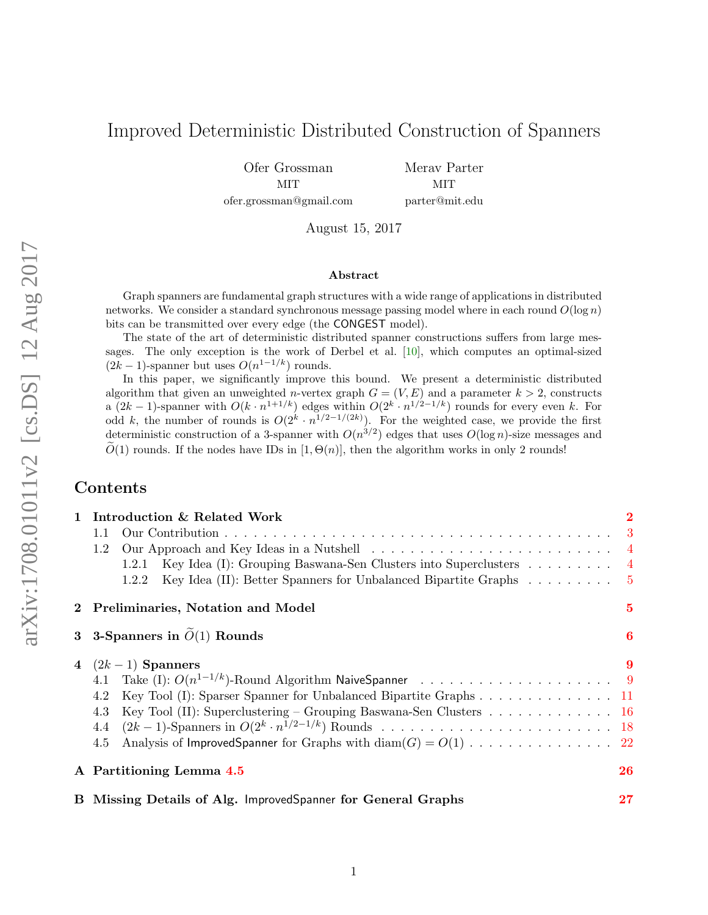## Improved Deterministic Distributed Construction of Spanners

Ofer Grossman MIT ofer.grossman@gmail.com Merav Parter MIT parter@mit.edu

August 15, 2017

#### Abstract

Graph spanners are fundamental graph structures with a wide range of applications in distributed networks. We consider a standard synchronous message passing model where in each round  $O(\log n)$ bits can be transmitted over every edge (the CONGEST model).

The state of the art of deterministic distributed spanner constructions suffers from large messages. The only exception is the work of Derbel et al. [\[10\]](#page-23-0), which computes an optimal-sized  $(2k-1)$ -spanner but uses  $O(n^{1-1/k})$  rounds.

In this paper, we significantly improve this bound. We present a deterministic distributed algorithm that given an unweighted *n*-vertex graph  $G = (V, E)$  and a parameter  $k > 2$ , constructs a  $(2k-1)$ -spanner with  $O(k \cdot n^{1+1/k})$  edges within  $O(2^k \cdot n^{1/2-1/k})$  rounds for every even k. For odd k, the number of rounds is  $O(2^k \cdot n^{1/2-1/(2k)})$ . For the weighted case, we provide the first deterministic construction of a 3-spanner with  $O(n^{3/2})$  edges that uses  $O(\log n)$ -size messages and  $\widetilde{O}(1)$  rounds. If the nodes have IDs in [1,  $\Theta(n)$ ], then the algorithm works in only 2 rounds!

### Contents

|                                           | 1 Introduction & Related Work                                                                    | $\bf{2}$       |  |
|-------------------------------------------|--------------------------------------------------------------------------------------------------|----------------|--|
|                                           | 1.1                                                                                              |                |  |
|                                           | 1.2                                                                                              |                |  |
|                                           | Key Idea (I): Grouping Baswana-Sen Clusters into Superclusters $\dots \dots \dots$<br>1.2.1      |                |  |
|                                           | Key Idea (II): Better Spanners for Unbalanced Bipartite Graphs $\ldots \ldots \ldots$ 5<br>1.2.2 |                |  |
|                                           | 2 Preliminaries, Notation and Model                                                              | $\overline{5}$ |  |
| 3 3-Spanners in $\widetilde{O}(1)$ Rounds |                                                                                                  |                |  |
|                                           | 4 $(2k-1)$ Spanners                                                                              | 9              |  |
|                                           |                                                                                                  |                |  |
|                                           | 4.2 Key Tool (I): Sparser Spanner for Unbalanced Bipartite Graphs 11                             |                |  |
|                                           | Key Tool (II): Superclustering – Grouping Baswana-Sen Clusters 16<br>4.3                         |                |  |
|                                           | 4.4                                                                                              |                |  |
|                                           | 4.5                                                                                              |                |  |
|                                           | A Partitioning Lemma 4.5                                                                         | 26             |  |
|                                           | B Missing Details of Alg. ImprovedSpanner for General Graphs                                     | 27             |  |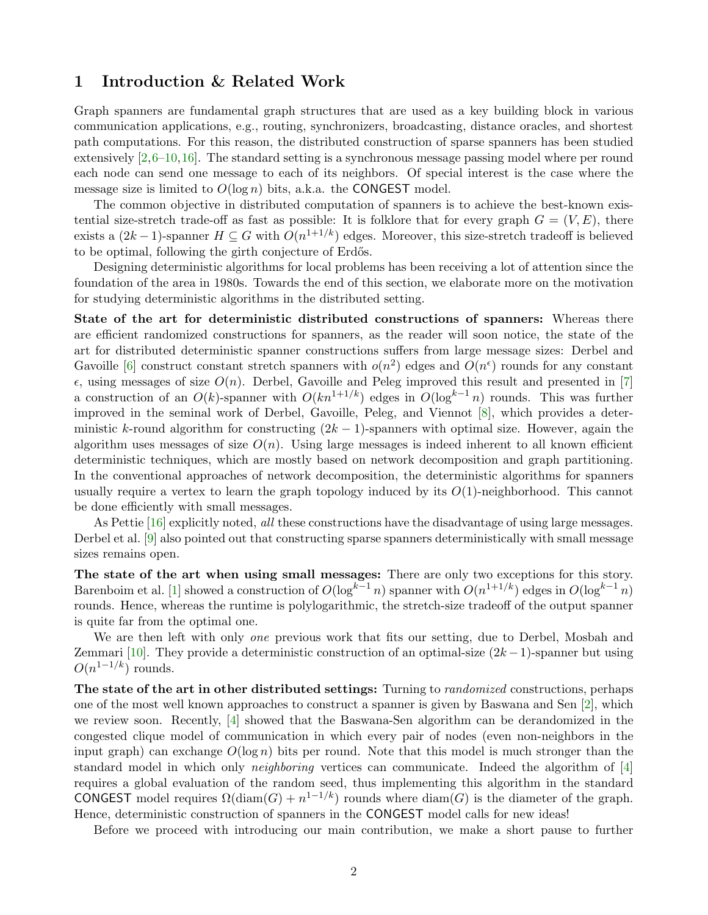### <span id="page-1-0"></span>1 Introduction & Related Work

Graph spanners are fundamental graph structures that are used as a key building block in various communication applications, e.g., routing, synchronizers, broadcasting, distance oracles, and shortest path computations. For this reason, the distributed construction of sparse spanners has been studied extensively [\[2,](#page-23-1)[6](#page-23-2)[–10,](#page-23-0)[16\]](#page-24-0). The standard setting is a synchronous message passing model where per round each node can send one message to each of its neighbors. Of special interest is the case where the message size is limited to  $O(\log n)$  bits, a.k.a. the CONGEST model.

The common objective in distributed computation of spanners is to achieve the best-known existential size-stretch trade-off as fast as possible: It is folklore that for every graph  $G = (V, E)$ , there exists a  $(2k-1)$ -spanner  $H \subseteq G$  with  $O(n^{1+1/k})$  edges. Moreover, this size-stretch tradeoff is believed to be optimal, following the girth conjecture of Erdős.

Designing deterministic algorithms for local problems has been receiving a lot of attention since the foundation of the area in 1980s. Towards the end of this section, we elaborate more on the motivation for studying deterministic algorithms in the distributed setting.

State of the art for deterministic distributed constructions of spanners: Whereas there are efficient randomized constructions for spanners, as the reader will soon notice, the state of the art for distributed deterministic spanner constructions suffers from large message sizes: Derbel and Gavoille [\[6\]](#page-23-2) construct constant stretch spanners with  $o(n^2)$  edges and  $O(n^{\epsilon})$  rounds for any constant  $\epsilon$ , using messages of size  $O(n)$ . Derbel, Gavoille and Peleg improved this result and presented in [\[7\]](#page-23-3) a construction of an  $O(k)$ -spanner with  $O(kn^{1+1/k})$  edges in  $O(\log^{k-1} n)$  rounds. This was further improved in the seminal work of Derbel, Gavoille, Peleg, and Viennot [\[8\]](#page-23-4), which provides a deterministic k-round algorithm for constructing  $(2k-1)$ -spanners with optimal size. However, again the algorithm uses messages of size  $O(n)$ . Using large messages is indeed inherent to all known efficient deterministic techniques, which are mostly based on network decomposition and graph partitioning. In the conventional approaches of network decomposition, the deterministic algorithms for spanners usually require a vertex to learn the graph topology induced by its  $O(1)$ -neighborhood. This cannot be done efficiently with small messages.

As Pettie [\[16\]](#page-24-0) explicitly noted, all these constructions have the disadvantage of using large messages. Derbel et al. [\[9\]](#page-23-5) also pointed out that constructing sparse spanners deterministically with small message sizes remains open.

The state of the art when using small messages: There are only two exceptions for this story. Barenboim et al. [\[1\]](#page-23-6) showed a construction of  $O(\log^{k-1} n)$  spanner with  $O(n^{1+1/k})$  edges in  $O(\log^{k-1} n)$ rounds. Hence, whereas the runtime is polylogarithmic, the stretch-size tradeoff of the output spanner is quite far from the optimal one.

We are then left with only *one* previous work that fits our setting, due to Derbel, Mosbah and Zemmari [\[10\]](#page-23-0). They provide a deterministic construction of an optimal-size  $(2k-1)$ -spanner but using  $O(n^{1-1/k})$  rounds.

The state of the art in other distributed settings: Turning to *randomized* constructions, perhaps one of the most well known approaches to construct a spanner is given by Baswana and Sen [\[2\]](#page-23-1), which we review soon. Recently, [\[4\]](#page-23-7) showed that the Baswana-Sen algorithm can be derandomized in the congested clique model of communication in which every pair of nodes (even non-neighbors in the input graph) can exchange  $O(\log n)$  bits per round. Note that this model is much stronger than the standard model in which only neighboring vertices can communicate. Indeed the algorithm of [\[4\]](#page-23-7) requires a global evaluation of the random seed, thus implementing this algorithm in the standard CONGEST model requires  $\Omega(\text{diam}(G) + n^{1-1/k})$  rounds where  $\text{diam}(G)$  is the diameter of the graph. Hence, deterministic construction of spanners in the CONGEST model calls for new ideas!

Before we proceed with introducing our main contribution, we make a short pause to further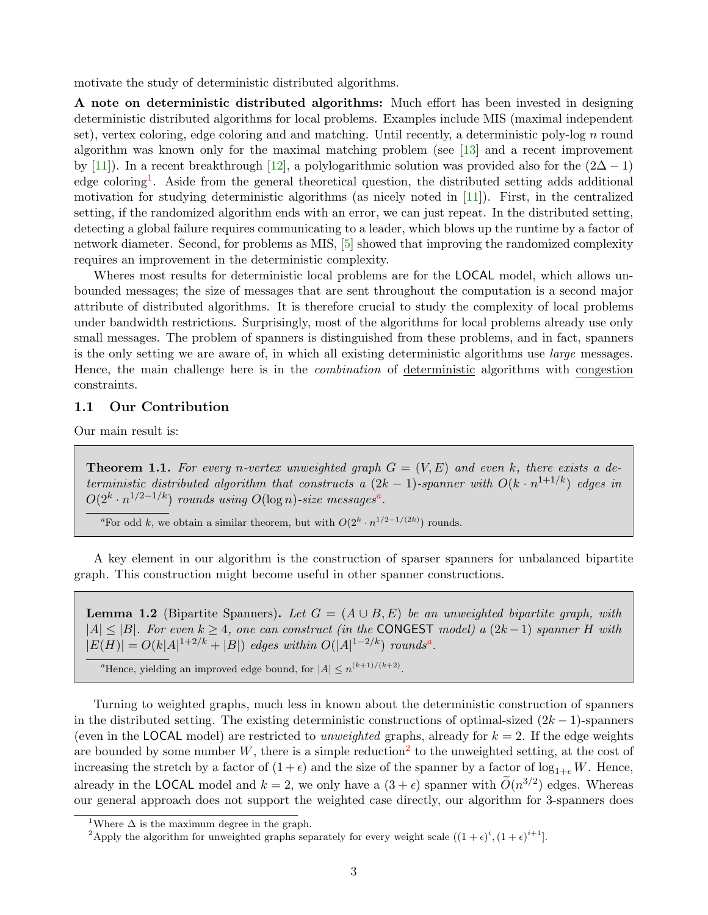motivate the study of deterministic distributed algorithms.

A note on deterministic distributed algorithms: Much effort has been invested in designing deterministic distributed algorithms for local problems. Examples include MIS (maximal independent set), vertex coloring, edge coloring and and matching. Until recently, a deterministic poly-log  $n$  round algorithm was known only for the maximal matching problem (see [\[13\]](#page-24-1) and a recent improvement by [\[11\]](#page-23-8)). In a recent breakthrough [\[12\]](#page-23-9), a polylogarithmic solution was provided also for the  $(2\Delta - 1)$ edge coloring<sup>[1](#page-2-1)</sup>. Aside from the general theoretical question, the distributed setting adds additional motivation for studying deterministic algorithms (as nicely noted in [\[11\]](#page-23-8)). First, in the centralized setting, if the randomized algorithm ends with an error, we can just repeat. In the distributed setting, detecting a global failure requires communicating to a leader, which blows up the runtime by a factor of network diameter. Second, for problems as MIS, [\[5\]](#page-23-10) showed that improving the randomized complexity requires an improvement in the deterministic complexity.

Wheres most results for deterministic local problems are for the LOCAL model, which allows unbounded messages; the size of messages that are sent throughout the computation is a second major attribute of distributed algorithms. It is therefore crucial to study the complexity of local problems under bandwidth restrictions. Surprisingly, most of the algorithms for local problems already use only small messages. The problem of spanners is distinguished from these problems, and in fact, spanners is the only setting we are aware of, in which all existing deterministic algorithms use large messages. Hence, the main challenge here is in the combination of deterministic algorithms with congestion constraints.

#### <span id="page-2-0"></span>1.1 Our Contribution

Our main result is:

**Theorem 1.1.** For every n-vertex unweighted graph  $G = (V, E)$  and even k, there exists a deterministic distributed algorithm that constructs a  $(2k-1)$ -spanner with  $O(k \cdot n^{1+1/k})$  edges in  $O(2^k \cdot n^{1/2-1/k})$  rounds using  $O(\log n)$ -size mess[a](#page-2-2)ges<sup>a</sup>.

<span id="page-2-2"></span><sup>a</sup>For odd k, we obtain a similar theorem, but with  $O(2^k \cdot n^{1/2-1/(2k)})$  rounds.

A key element in our algorithm is the construction of sparser spanners for unbalanced bipartite graph. This construction might become useful in other spanner constructions.

<span id="page-2-5"></span>**Lemma 1.2** (Bipartite Spanners). Let  $G = (A \cup B, E)$  be an unweighted bipartite graph, with  $|A| \leq |B|$ . For even  $k \geq 4$ , one can construct (in the CONGEST model) a  $(2k-1)$  spanner H with  $|E(H)| = O(k|A|^{1+2/k} + |B|)$  edges within  $O(|A|^{1-2/k})$  rounds<sup>[a](#page-2-3)</sup>.

<span id="page-2-3"></span><sup>a</sup>Hence, yielding an improved edge bound, for  $|A| \leq n^{(k+1)/(k+2)}$ .

Turning to weighted graphs, much less in known about the deterministic construction of spanners in the distributed setting. The existing deterministic constructions of optimal-sized  $(2k-1)$ -spanners (even in the LOCAL model) are restricted to unweighted graphs, already for  $k = 2$ . If the edge weights are bounded by some number W, there is a simple reduction<sup>[2](#page-2-4)</sup> to the unweighted setting, at the cost of increasing the stretch by a factor of  $(1 + \epsilon)$  and the size of the spanner by a factor of  $\log_{1+\epsilon} W$ . Hence, already in the **LOCAL** model and  $k = 2$ , we only have a  $(3 + \epsilon)$  spanner with  $\widetilde{O}(n^{3/2})$  edges. Whereas our general approach does not support the weighted case directly, our algorithm for 3-spanners does

<span id="page-2-1"></span><sup>&</sup>lt;sup>1</sup>Where  $\Delta$  is the maximum degree in the graph.

<span id="page-2-4"></span><sup>&</sup>lt;sup>2</sup>Apply the algorithm for unweighted graphs separately for every weight scale  $((1 + \epsilon)^i, (1 + \epsilon)^{i+1}]$ .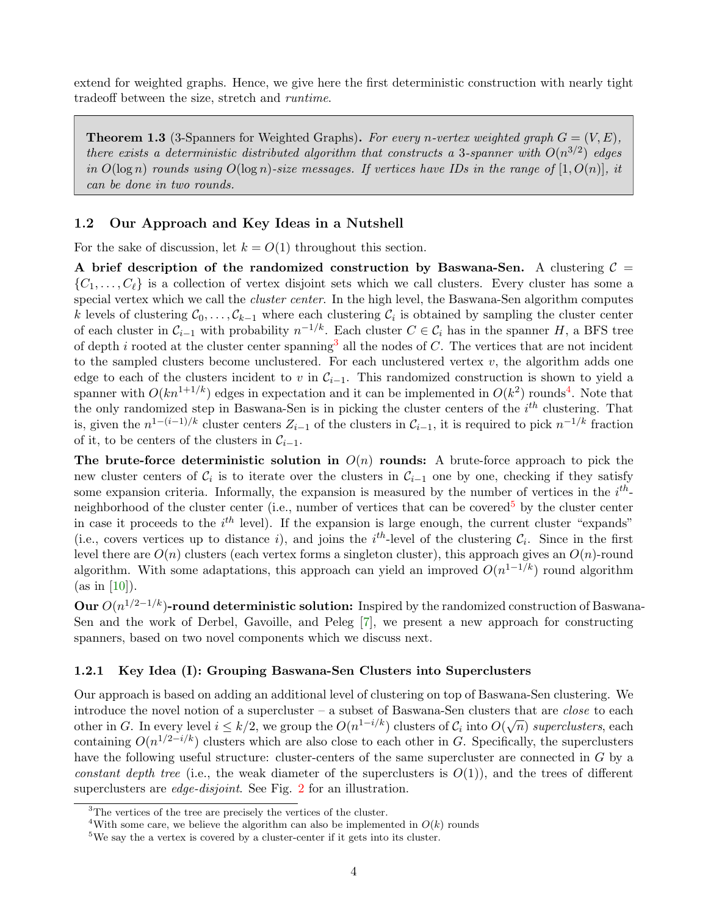extend for weighted graphs. Hence, we give here the first deterministic construction with nearly tight tradeoff between the size, stretch and runtime.

**Theorem 1.3** (3-Spanners for Weighted Graphs). For every n-vertex weighted graph  $G = (V, E)$ , there exists a deterministic distributed algorithm that constructs a 3-spanner with  $O(n^{3/2})$  edges in  $O(\log n)$  rounds using  $O(\log n)$ -size messages. If vertices have IDs in the range of  $[1, O(n)]$ , it can be done in two rounds.

#### <span id="page-3-0"></span>1.2 Our Approach and Key Ideas in a Nutshell

For the sake of discussion, let  $k = O(1)$  throughout this section.

A brief description of the randomized construction by Baswana-Sen. A clustering  $C =$  $\{C_1, \ldots, C_\ell\}$  is a collection of vertex disjoint sets which we call clusters. Every cluster has some a special vertex which we call the *cluster center*. In the high level, the Baswana-Sen algorithm computes k levels of clustering  $\mathcal{C}_0, \ldots, \mathcal{C}_{k-1}$  where each clustering  $\mathcal{C}_i$  is obtained by sampling the cluster center of each cluster in  $C_{i-1}$  with probability  $n^{-1/k}$ . Each cluster  $C \in C_i$  has in the spanner H, a BFS tree of depth i rooted at the cluster center spanning<sup>[3](#page-3-2)</sup> all the nodes of  $C$ . The vertices that are not incident to the sampled clusters become unclustered. For each unclustered vertex  $v$ , the algorithm adds one edge to each of the clusters incident to v in  $\mathcal{C}_{i-1}$ . This randomized construction is shown to yield a spanner with  $O(kn^{1+1/k})$  edges in expectation and it can be implemented in  $O(k^2)$  rounds<sup>[4](#page-3-3)</sup>. Note that the only randomized step in Baswana-Sen is in picking the cluster centers of the  $i^{th}$  clustering. That is, given the  $n^{1-(i-1)/k}$  cluster centers  $Z_{i-1}$  of the clusters in  $\mathcal{C}_{i-1}$ , it is required to pick  $n^{-1/k}$  fraction of it, to be centers of the clusters in  $\mathcal{C}_{i-1}$ .

The brute-force deterministic solution in  $O(n)$  rounds: A brute-force approach to pick the new cluster centers of  $\mathcal{C}_i$  is to iterate over the clusters in  $\mathcal{C}_{i-1}$  one by one, checking if they satisfy some expansion criteria. Informally, the expansion is measured by the number of vertices in the  $i^{th}$ -neighborhood of the cluster center (i.e., number of vertices that can be covered<sup>[5](#page-3-4)</sup> by the cluster center in case it proceeds to the  $i<sup>th</sup>$  level). If the expansion is large enough, the current cluster "expands" (i.e., covers vertices up to distance i), and joins the i<sup>th</sup>-level of the clustering  $C_i$ . Since in the first level there are  $O(n)$  clusters (each vertex forms a singleton cluster), this approach gives an  $O(n)$ -round algorithm. With some adaptations, this approach can yield an improved  $O(n^{1-1/k})$  round algorithm  $(as in [10]).$  $(as in [10]).$  $(as in [10]).$ 

Our  $O(n^{1/2-1/k})$ -round deterministic solution: Inspired by the randomized construction of Baswana-Sen and the work of Derbel, Gavoille, and Peleg [\[7\]](#page-23-3), we present a new approach for constructing spanners, based on two novel components which we discuss next.

#### <span id="page-3-1"></span>1.2.1 Key Idea (I): Grouping Baswana-Sen Clusters into Superclusters

Our approach is based on adding an additional level of clustering on top of Baswana-Sen clustering. We introduce the novel notion of a supercluster – a subset of Baswana-Sen clusters that are close to each other in G. In every level  $i \leq k/2$ , we group the  $O(n^{1-i/k})$  clusters of  $C_i$  into  $O(\sqrt{n})$  superclusters, each containing  $O(n^{1/2-i/k})$  clusters which are also close to each other in G. Specifically, the superclusters have the following useful structure: cluster-centers of the same supercluster are connected in G by a constant depth tree (i.e., the weak diameter of the superclusters is  $O(1)$ ), and the trees of different superclusters are *edge-disjoint*. See Fig. [2](#page-16-0) for an illustration.

<span id="page-3-2"></span><sup>&</sup>lt;sup>3</sup>The vertices of the tree are precisely the vertices of the cluster.

<span id="page-3-3"></span><sup>&</sup>lt;sup>4</sup>With some care, we believe the algorithm can also be implemented in  $O(k)$  rounds

<span id="page-3-4"></span><sup>5</sup>We say the a vertex is covered by a cluster-center if it gets into its cluster.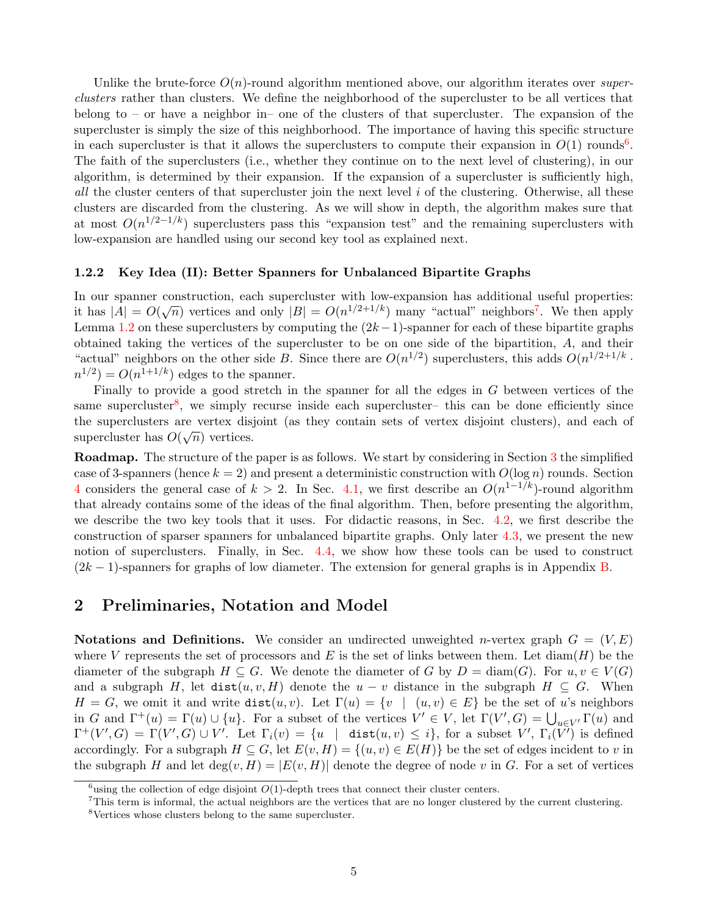Unlike the brute-force  $O(n)$ -round algorithm mentioned above, our algorithm iterates over superclusters rather than clusters. We define the neighborhood of the supercluster to be all vertices that belong to – or have a neighbor in– one of the clusters of that supercluster. The expansion of the supercluster is simply the size of this neighborhood. The importance of having this specific structure in each supercluster is that it allows the superclusters to compute their expansion in  $O(1)$  rounds<sup>[6](#page-4-2)</sup>. The faith of the superclusters (i.e., whether they continue on to the next level of clustering), in our algorithm, is determined by their expansion. If the expansion of a supercluster is sufficiently high, all the cluster centers of that supercluster join the next level i of the clustering. Otherwise, all these clusters are discarded from the clustering. As we will show in depth, the algorithm makes sure that at most  $O(n^{1/2-1/k})$  superclusters pass this "expansion test" and the remaining superclusters with low-expansion are handled using our second key tool as explained next.

#### <span id="page-4-0"></span>1.2.2 Key Idea (II): Better Spanners for Unbalanced Bipartite Graphs

In our spanner construction, each supercluster with low-expansion has additional useful properties: if but spanner construction, each supercluster with low-expansion has additional useful properties.<br>it has  $|A| = O(\sqrt{n})$  vertices and only  $|B| = O(n^{1/2+1/k})$  many "actual" neighbors<sup>[7](#page-4-3)</sup>. We then apply Lemma [1.2](#page-2-5) on these superclusters by computing the  $(2k-1)$ -spanner for each of these bipartite graphs obtained taking the vertices of the supercluster to be on one side of the bipartition, A, and their "actual" neighbors on the other side B. Since there are  $O(n^{1/2})$  superclusters, this adds  $O(n^{1/2+1/k})$ .  $n^{1/2}$ ) =  $O(n^{1+1/k})$  edges to the spanner.

Finally to provide a good stretch in the spanner for all the edges in G between vertices of the same supercluster<sup>[8](#page-4-4)</sup>, we simply recurse inside each supercluster– this can be done efficiently since the superclusters are vertex disjoint (as they contain sets of vertex disjoint clusters), and each of supercluster has  $O(\sqrt{n})$  vertices.

Roadmap. The structure of the paper is as follows. We start by considering in Section [3](#page-5-0) the simplified case of 3-spanners (hence  $k = 2$ ) and present a deterministic construction with  $O(\log n)$  rounds. Section [4](#page-8-0) considers the general case of  $k > 2$ . In Sec. [4.1,](#page-8-1) we first describe an  $O(n^{1-1/k})$ -round algorithm that already contains some of the ideas of the final algorithm. Then, before presenting the algorithm, we describe the two key tools that it uses. For didactic reasons, in Sec. [4.2,](#page-10-0) we first describe the construction of sparser spanners for unbalanced bipartite graphs. Only later [4.3,](#page-15-0) we present the new notion of superclusters. Finally, in Sec. [4.4,](#page-17-0) we show how these tools can be used to construct  $(2k-1)$ -spanners for graphs of low diameter. The extension for general graphs is in Appendix [B.](#page-26-0)

### <span id="page-4-1"></span>2 Preliminaries, Notation and Model

Notations and Definitions. We consider an undirected unweighted *n*-vertex graph  $G = (V, E)$ where V represents the set of processors and E is the set of links between them. Let  $\text{diam}(H)$  be the diameter of the subgraph  $H \subseteq G$ . We denote the diameter of G by  $D = \text{diam}(G)$ . For  $u, v \in V(G)$ and a subgraph H, let  $dist(u, v, H)$  denote the  $u - v$  distance in the subgraph  $H \subseteq G$ . When  $H = G$ , we omit it and write dist $(u, v)$ . Let  $\Gamma(u) = \{v \mid (u, v) \in E\}$  be the set of u's neighbors in G and  $\Gamma^+(u) = \Gamma(u) \cup \{u\}$ . For a subset of the vertices  $V' \in V$ , let  $\Gamma(V', G) = \bigcup_{u \in V'} \Gamma(u)$  and  $\Gamma^+(V',G) = \Gamma(V',G) \cup V'.$  Let  $\Gamma_i(v) = \{u \mid \text{dist}(u,v) \leq i\},$  for a subset  $V', \Gamma_i(\bar{V'})$  is defined accordingly. For a subgraph  $H \subseteq G$ , let  $E(v, H) = \{(u, v) \in E(H)\}\$ be the set of edges incident to v in the subgraph H and let  $\deg(v, H) = |E(v, H)|$  denote the degree of node v in G. For a set of vertices

<span id="page-4-2"></span><sup>&</sup>lt;sup>6</sup>using the collection of edge disjoint  $O(1)$ -depth trees that connect their cluster centers.

<span id="page-4-3"></span><sup>7</sup>This term is informal, the actual neighbors are the vertices that are no longer clustered by the current clustering.

<span id="page-4-4"></span><sup>8</sup>Vertices whose clusters belong to the same supercluster.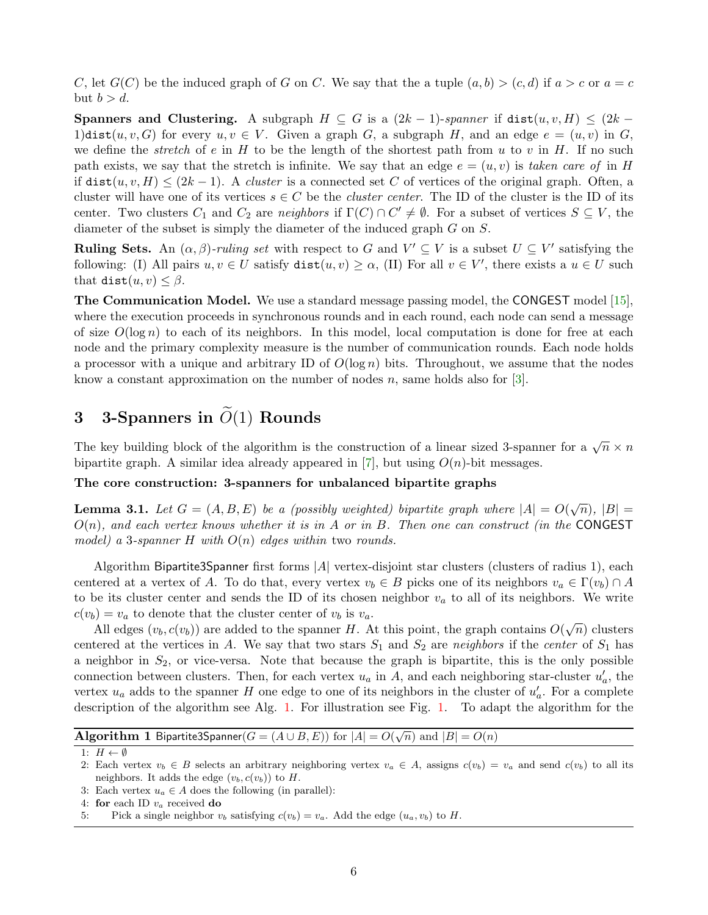C, let  $G(C)$  be the induced graph of G on C. We say that the a tuple  $(a, b) > (c, d)$  if  $a > c$  or  $a = c$ but  $b > d$ .

**Spanners and Clustering.** A subgraph  $H \subseteq G$  is a  $(2k-1)$ -spanner if dist $(u, v, H) \leq (2k-1)$ 1)dist(u, v, G) for every  $u, v \in V$ . Given a graph G, a subgraph H, and an edge  $e = (u, v)$  in G, we define the *stretch* of e in H to be the length of the shortest path from u to v in H. If no such path exists, we say that the stretch is infinite. We say that an edge  $e = (u, v)$  is taken care of in H if  $dist(u, v, H) \leq (2k-1)$ . A *cluster* is a connected set C of vertices of the original graph. Often, a cluster will have one of its vertices  $s \in C$  be the *cluster center*. The ID of the cluster is the ID of its center. Two clusters  $C_1$  and  $C_2$  are *neighbors* if  $\Gamma(C) \cap C' \neq \emptyset$ . For a subset of vertices  $S \subseteq V$ , the diameter of the subset is simply the diameter of the induced graph G on S.

**Ruling Sets.** An  $(\alpha, \beta)$ -ruling set with respect to G and  $V' \subseteq V$  is a subset  $U \subseteq V'$  satisfying the following: (I) All pairs  $u, v \in U$  satisfy  $dist(u, v) \ge \alpha$ , (II) For all  $v \in V'$ , there exists a  $u \in U$  such that dist $(u, v) \leq \beta$ .

The Communication Model. We use a standard message passing model, the CONGEST model [\[15\]](#page-24-2), where the execution proceeds in synchronous rounds and in each round, each node can send a message of size  $O(\log n)$  to each of its neighbors. In this model, local computation is done for free at each node and the primary complexity measure is the number of communication rounds. Each node holds a processor with a unique and arbitrary ID of  $O(\log n)$  bits. Throughout, we assume that the nodes know a constant approximation on the number of nodes  $n$ , same holds also for [\[3\]](#page-23-11).

# <span id="page-5-0"></span>3 3-Spanners in  $\widetilde{O}(1)$  Rounds

The key building block of the algorithm is the construction of a linear sized 3-spanner for a  $\sqrt{n} \times n$ bipartite graph. A similar idea already appeared in [\[7\]](#page-23-3), but using  $O(n)$ -bit messages.

#### The core construction: 3-spanners for unbalanced bipartite graphs

**Lemma 3.1.** Let  $G = (A, B, E)$  be a (possibly weighted) bipartite graph where  $|A| = O(\sqrt{n}), |B| =$  $O(n)$ , and each vertex knows whether it is in A or in B. Then one can construct (in the CONGEST model) a 3-spanner H with  $O(n)$  edges within two rounds.

Algorithm Bipartite3Spanner first forms |A| vertex-disjoint star clusters (clusters of radius 1), each centered at a vertex of A. To do that, every vertex  $v_b \in B$  picks one of its neighbors  $v_a \in \Gamma(v_b) \cap A$ to be its cluster center and sends the ID of its chosen neighbor  $v_a$  to all of its neighbors. We write  $c(v_b) = v_a$  to denote that the cluster center of  $v_b$  is  $v_a$ .

All edges  $(v_b, c(v_b))$  are added to the spanner H. At this point, the graph contains  $O(\sqrt{n})$  clusters centered at the vertices in A. We say that two stars  $S_1$  and  $S_2$  are neighbors if the center of  $S_1$  has a neighbor in  $S_2$ , or vice-versa. Note that because the graph is bipartite, this is the only possible connection between clusters. Then, for each vertex  $u_a$  in A, and each neighboring star-cluster  $u'_a$ , the vertex  $u_a$  adds to the spanner H one edge to one of its neighbors in the cluster of  $u'_a$ . For a complete description of the algorithm see Alg. [1.](#page-5-1) For illustration see Fig. [1.](#page-6-0) To adapt the algorithm for the

| <b>Algorithm 1</b> Bipartite3Spanner( $G = (A \cup B, E)$ ) for $ A  = O(\sqrt{n})$ and $ B  = O(n)$ |
|------------------------------------------------------------------------------------------------------|

1:  $H \leftarrow \emptyset$ 

3: Each vertex  $u_a \in A$  does the following (in parallel):

4: for each ID  $v_a$  received do

<sup>2:</sup> Each vertex  $v_b \in B$  selects an arbitrary neighboring vertex  $v_a \in A$ , assigns  $c(v_b) = v_a$  and send  $c(v_b)$  to all its neighbors. It adds the edge  $(v_b, c(v_b))$  to H.

<span id="page-5-1"></span><sup>5:</sup> Pick a single neighbor  $v_b$  satisfying  $c(v_b) = v_a$ . Add the edge  $(u_a, v_b)$  to H.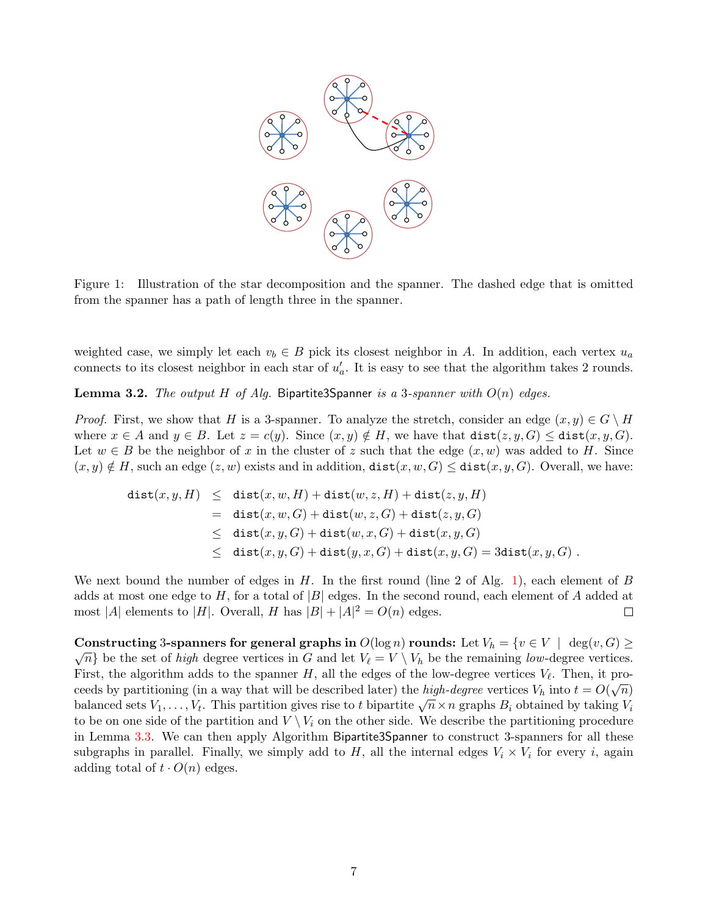

<span id="page-6-0"></span>Figure 1: Illustration of the star decomposition and the spanner. The dashed edge that is omitted from the spanner has a path of length three in the spanner.

weighted case, we simply let each  $v_b \in B$  pick its closest neighbor in A. In addition, each vertex  $u_a$ connects to its closest neighbor in each star of  $u'_a$ . It is easy to see that the algorithm takes 2 rounds.

**Lemma 3.2.** The output H of Alg. Bipartite3Spanner is a 3-spanner with  $O(n)$  edges.

*Proof.* First, we show that H is a 3-spanner. To analyze the stretch, consider an edge  $(x, y) \in G \setminus H$ where  $x \in A$  and  $y \in B$ . Let  $z = c(y)$ . Since  $(x, y) \notin H$ , we have that  $dist(z, y, G) \leq dist(x, y, G)$ . Let  $w \in B$  be the neighbor of x in the cluster of z such that the edge  $(x, w)$  was added to H. Since  $(x, y) \notin H$ , such an edge  $(z, w)$  exists and in addition,  $dist(x, w, G) \leq dist(x, y, G)$ . Overall, we have:

$$
\begin{array}{lcl} \texttt{dist}(x,y,H) & \leq & \texttt{dist}(x,w,H) + \texttt{dist}(w,z,H) + \texttt{dist}(z,y,H) \\ \\ & = & \texttt{dist}(x,w,G) + \texttt{dist}(w,z,G) + \texttt{dist}(z,y,G) \\ \\ & \leq & \texttt{dist}(x,y,G) + \texttt{dist}(w,x,G) + \texttt{dist}(x,y,G) \\ \\ & \leq & \texttt{dist}(x,y,G) + \texttt{dist}(y,x,G) + \texttt{dist}(x,y,G) = 3\texttt{dist}(x,y,G) \ . \end{array}
$$

We next bound the number of edges in  $H$ . In the first round (line 2 of Alg. [1\)](#page-5-1), each element of  $B$ adds at most one edge to H, for a total of  $|B|$  edges. In the second round, each element of A added at most |A| elements to |H|. Overall, H has  $|B| + |A|^2 = O(n)$  edges.  $\Box$ 

Constructing 3-spanners for general graphs in  $O(\log n)$  rounds: Let  $V_h = \{v \in V \mid \deg(v, G) \geq \emptyset\}$  $\{\sqrt{n}\}\$ be the set of *high* degree vertices in G and let  $V_{\ell} = V \setminus V_h$  be the remaining low-degree vertices. First, the algorithm adds to the spanner H, all the edges of the low-degree vertices  $V_\ell$ . Then, it proceeds by partitioning (in a way that will be described later) the *high-degree* vertices  $V_h$  into  $t = O(\sqrt{n})$ balanced sets  $V_1, \ldots, V_t$ . This partition gives rise to t bipartite  $\sqrt{n} \times n$  graphs  $B_i$  obtained by taking  $V_i$  balanced sets  $V_1, \ldots, V_t$ . This partition gives rise to t bipartite  $\sqrt{n} \times n$  graphs  $B_i$  obtained by tak to be on one side of the partition and  $V \setminus V_i$  on the other side. We describe the partitioning procedure in Lemma [3.3.](#page-7-0) We can then apply Algorithm Bipartite3Spanner to construct 3-spanners for all these subgraphs in parallel. Finally, we simply add to H, all the internal edges  $V_i \times V_i$  for every i, again adding total of  $t \cdot O(n)$  edges.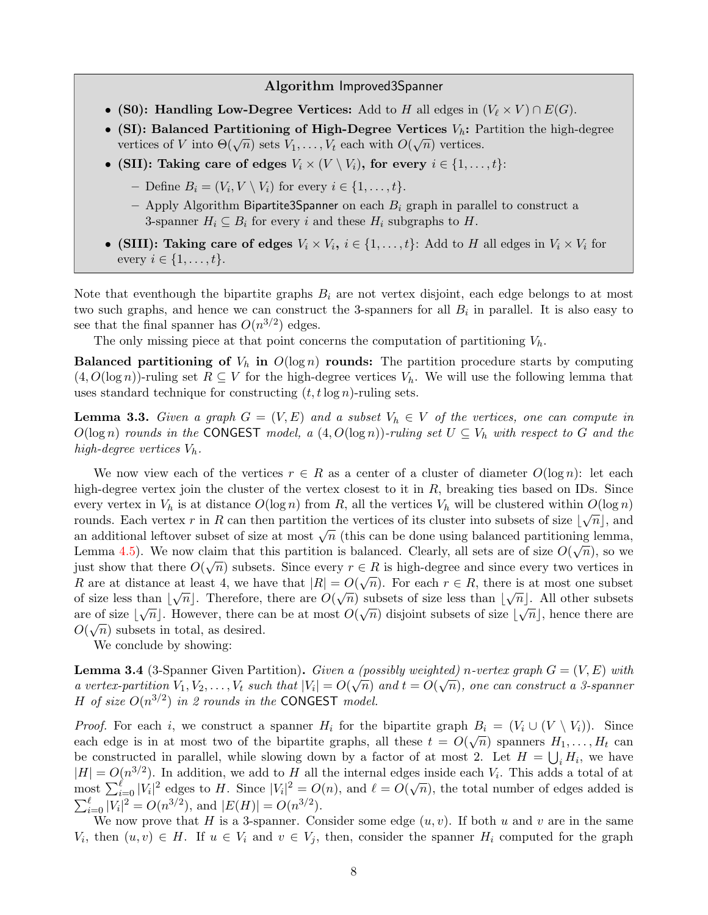#### Algorithm Improved3Spanner

- (S0): Handling Low-Degree Vertices: Add to H all edges in  $(V_{\ell} \times V) \cap E(G)$ .
- (SI): Balanced Partitioning of High-Degree Vertices  $V_h$ : Partition the high-degree vertices of V into  $\Theta(\sqrt{n})$  sets  $V_1, \ldots, V_t$  each with  $O(\sqrt{n})$  vertices.
- (SII): Taking care of edges  $V_i \times (V \setminus V_i)$ , for every  $i \in \{1, \ldots, t\}$ :
	- Define  $B_i = (V_i, V \setminus V_i)$  for every  $i \in \{1, \ldots, t\}.$
	- Apply Algorithm Bipartite3Spanner on each  $B_i$  graph in parallel to construct a 3-spanner  $H_i \subseteq B_i$  for every i and these  $H_i$  subgraphs to H.
- (SIII): Taking care of edges  $V_i \times V_i$ ,  $i \in \{1, ..., t\}$ : Add to H all edges in  $V_i \times V_i$  for every  $i \in \{1, \ldots, t\}.$

Note that eventhough the bipartite graphs  $B_i$  are not vertex disjoint, each edge belongs to at most two such graphs, and hence we can construct the 3-spanners for all  $B_i$  in parallel. It is also easy to see that the final spanner has  $O(n^{3/2})$  edges.

The only missing piece at that point concerns the computation of partitioning  $V_h$ .

**Balanced partitioning of**  $V_h$  in  $O(\log n)$  rounds: The partition procedure starts by computing  $(4, O(\log n))$ -ruling set  $R \subseteq V$  for the high-degree vertices  $V_h$ . We will use the following lemma that uses standard technique for constructing  $(t, t \log n)$ -ruling sets.

<span id="page-7-0"></span>**Lemma 3.3.** Given a graph  $G = (V, E)$  and a subset  $V_h \in V$  of the vertices, one can compute in  $O(\log n)$  rounds in the CONGEST model, a  $(4, O(\log n))$ -ruling set  $U \subseteq V_h$  with respect to G and the high-degree vertices  $V_h$ .

We now view each of the vertices  $r \in R$  as a center of a cluster of diameter  $O(\log n)$ : let each high-degree vertex join the cluster of the vertex closest to it in  $R$ , breaking ties based on IDs. Since every vertex in  $V_h$  is at distance  $O(\log n)$  from R, all the vertices  $V_h$  will be clustered within  $O(\log n)$ rounds. Each vertex r in R can then partition the vertices of its cluster into subsets of size  $\lfloor \sqrt{n} \rfloor$ , and From the state of size at most  $\sqrt{n}$  (this can be done using balanced partitioning lemma, Lemma [4.5\)](#page-17-1). We now claim that this partition is balanced. Clearly, all sets are of size  $O(\sqrt{n})$ , so we just show that there  $O(\sqrt{n})$  subsets. Since every  $r \in R$  is high-degree and since every two vertices in R are at distance at least 4, we have that  $|R| = O(\sqrt{n})$ . For each  $r \in R$ , there is at most one subset of size less than  $\lfloor \sqrt{n} \rfloor$ . Therefore, there are  $O(\sqrt{n})$  subsets of size less than  $\lfloor \sqrt{n} \rfloor$ . All other subsets are of size  $\lfloor \sqrt{n} \rfloor$ . However, there can be at most  $O(\sqrt{n})$  disjoint subsets of size  $\lfloor \sqrt{n} \rfloor$ , hence there are  $O(\sqrt{n})$  subsets in total, as desired.

We conclude by showing:

<span id="page-7-1"></span>**Lemma 3.4** (3-Spanner Given Partition). Given a (possibly weighted) n-vertex graph  $G = (V, E)$  with a vertex-partition  $V_1, V_2, \ldots, V_t$  such that  $|V_i| = O(\sqrt{n})$  and  $t = O(\sqrt{n})$ , one can construct a 3-spanner H of size  $O(n^{3/2})$  in 2 rounds in the CONGEST model.

*Proof.* For each i, we construct a spanner  $H_i$  for the bipartite graph  $B_i = (V_i \cup (V \setminus V_i))$ . Since each edge is in at most two of the bipartite graphs, all these  $t = O(\sqrt{n})$  spanners  $H_1, \ldots, H_t$  can be constructed in parallel, while slowing down by a factor of at most 2. Let  $H = \bigcup_i H_i$ , we have  $|H| = O(n^{3/2})$ . In addition, we add to H all the internal edges inside each  $V_i$ . This adds a total of at  $|H| = O(h^{1/2})$ . In addition, we add to H an the internal edges inside each  $V_i$ . This adds a total of at most  $\sum_{i=0}^{\ell} |V_i|^2$  edges to H. Since  $|V_i|^2 = O(n)$ , and  $\ell = O(\sqrt{n})$ , the total number of edges added is  $\sum_{i=0}^{\ell} |V_i|^2 = O(n^{3/2})$ , and  $|E(H)| = O(n^{3/2})$ .

We now prove that H is a 3-spanner. Consider some edge  $(u, v)$ . If both u and v are in the same  $V_i$ , then  $(u, v) \in H$ . If  $u \in V_i$  and  $v \in V_j$ , then, consider the spanner  $H_i$  computed for the graph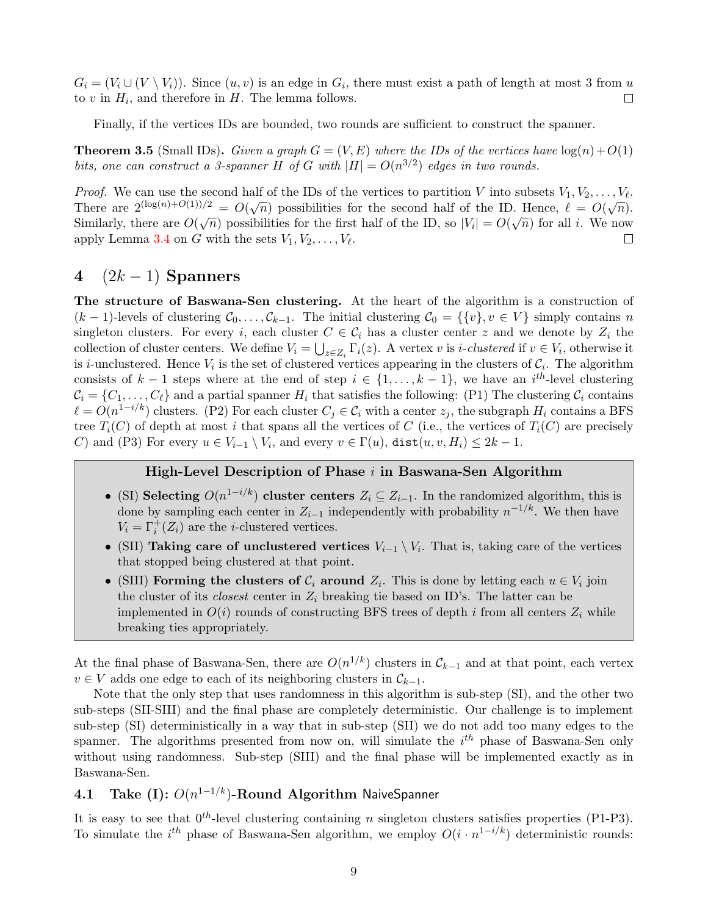$G_i = (V_i \cup (V \setminus V_i))$ . Since  $(u, v)$  is an edge in  $G_i$ , there must exist a path of length at most 3 from u to  $v$  in  $H_i$ , and therefore in  $H$ . The lemma follows.  $\Box$ 

Finally, if the vertices IDs are bounded, two rounds are sufficient to construct the spanner.

**Theorem 3.5** (Small IDs). Given a graph  $G = (V, E)$  where the IDs of the vertices have  $log(n) + O(1)$ bits, one can construct a 3-spanner H of G with  $|H| = O(n^{3/2})$  edges in two rounds.

*Proof.* We can use the second half of the IDs of the vertices to partition V into subsets  $V_1, V_2, \ldots, V_\ell$ . There are  $2^{(\log(n)+O(1))/2} = O(\sqrt{n})$  possibilities for the second half of the ID. Hence,  $\ell = O(\sqrt{n})$ . Similarly, there are  $O(\sqrt{n})$  possibilities for the first half of the ID, so  $|V_i| = O(\sqrt{n})$  for all *i*. We now apply Lemma [3.4](#page-7-1) on G with the sets  $V_1, V_2, \ldots, V_\ell$ .  $\Box$ 

### <span id="page-8-0"></span>4  $(2k-1)$  Spanners

The structure of Baswana-Sen clustering. At the heart of the algorithm is a construction of  $(k-1)$ -levels of clustering  $C_0, \ldots, C_{k-1}$ . The initial clustering  $C_0 = \{ \{v\}, v \in V \}$  simply contains n singleton clusters. For every i, each cluster  $C \in \mathcal{C}_i$  has a cluster center z and we denote by  $Z_i$  the collection of cluster centers. We define  $V_i = \bigcup_{z \in Z_i} \Gamma_i(z)$ . A vertex v is *i-clustered* if  $v \in V_i$ , otherwise it is *i*-unclustered. Hence  $V_i$  is the set of clustered vertices appearing in the clusters of  $\mathcal{C}_i$ . The algorithm consists of  $k-1$  steps where at the end of step  $i \in \{1, \ldots, k-1\}$ , we have an  $i^{th}$ -level clustering  $C_i = \{C_1, \ldots, C_\ell\}$  and a partial spanner  $H_i$  that satisfies the following: (P1) The clustering  $C_i$  contains  $\ell = O(n^{1-i/k})$  clusters. (P2) For each cluster  $C_j \in \mathcal{C}_i$  with a center  $z_j$ , the subgraph  $H_i$  contains a BFS tree  $T_i(C)$  of depth at most i that spans all the vertices of C (i.e., the vertices of  $T_i(C)$  are precisely C) and (P3) For every  $u \in V_{i-1} \setminus V_i$ , and every  $v \in \Gamma(u)$ ,  $dist(u, v, H_i) \leq 2k - 1$ .

#### High-Level Description of Phase i in Baswana-Sen Algorithm

- (SI) Selecting  $O(n^{1-i/k})$  cluster centers  $Z_i \subseteq Z_{i-1}$ . In the randomized algorithm, this is done by sampling each center in  $Z_{i-1}$  independently with probability  $n^{-1/k}$ . We then have  $V_i = \Gamma_i^+(Z_i)$  are the *i*-clustered vertices.
- (SII) Taking care of unclustered vertices  $V_{i-1} \setminus V_i$ . That is, taking care of the vertices that stopped being clustered at that point.
- (SIII) Forming the clusters of  $C_i$  around  $Z_i$ . This is done by letting each  $u \in V_i$  join the cluster of its *closest* center in  $Z_i$  breaking tie based on ID's. The latter can be implemented in  $O(i)$  rounds of constructing BFS trees of depth i from all centers  $Z_i$  while breaking ties appropriately.

At the final phase of Baswana-Sen, there are  $O(n^{1/k})$  clusters in  $\mathcal{C}_{k-1}$  and at that point, each vertex  $v \in V$  adds one edge to each of its neighboring clusters in  $\mathcal{C}_{k-1}$ .

Note that the only step that uses randomness in this algorithm is sub-step (SI), and the other two sub-steps (SII-SIII) and the final phase are completely deterministic. Our challenge is to implement sub-step (SI) deterministically in a way that in sub-step (SII) we do not add too many edges to the spanner. The algorithms presented from now on, will simulate the  $i^{th}$  phase of Baswana-Sen only without using randomness. Sub-step (SIII) and the final phase will be implemented exactly as in Baswana-Sen.

### <span id="page-8-1"></span>4.1 Take (I):  $O(n^{1-1/k})$ -Round Algorithm NaiveSpanner

It is easy to see that  $0^{th}$ -level clustering containing n singleton clusters satisfies properties (P1-P3). To simulate the  $i^{th}$  phase of Baswana-Sen algorithm, we employ  $O(i \cdot n^{1-i/k})$  deterministic rounds: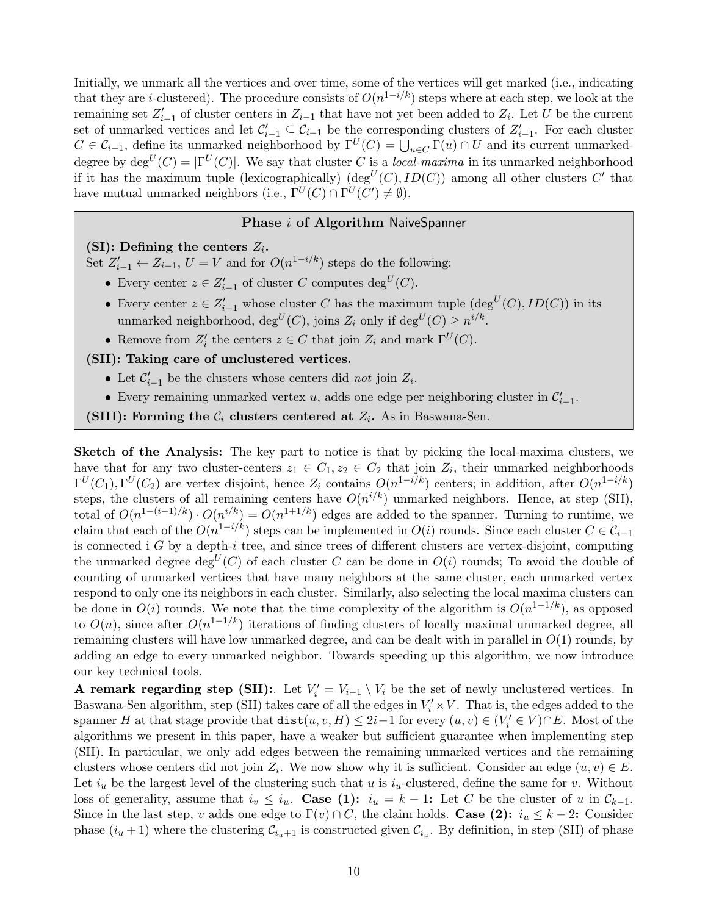Initially, we unmark all the vertices and over time, some of the vertices will get marked (i.e., indicating that they are *i*-clustered). The procedure consists of  $O(n^{1-i/k})$  steps where at each step, we look at the remaining set  $Z'_{i-1}$  of cluster centers in  $Z_{i-1}$  that have not yet been added to  $Z_i$ . Let U be the current set of unmarked vertices and let  $\mathcal{C}_{i-1}' \subseteq \mathcal{C}_{i-1}$  be the corresponding clusters of  $Z_{i-1}'$ . For each cluster  $C \in \mathcal{C}_{i-1}$ , define its unmarked neighborhood by  $\Gamma^U(C) = \bigcup_{u \in C} \Gamma(u) \cap U$  and its current unmarkeddegree by  $\deg^U(C) = |\Gamma^U(C)|$ . We say that cluster C is a *local-maxima* in its unmarked neighborhood if it has the maximum tuple (lexicographically) (deg<sup>U</sup>(C), ID(C)) among all other clusters C' that have mutual unmarked neighbors (i.e.,  $\Gamma^U(C) \cap \Gamma^U(C') \neq \emptyset$ ).

### Phase *i* of Algorithm NaiveSpanner

(SI): Defining the centers  $Z_i$ .

Set  $Z'_{i-1} \leftarrow Z_{i-1}, U = V$  and for  $O(n^{1-i/k})$  steps do the following:

- Every center  $z \in Z'_{i-1}$  of cluster C computes  $\deg^U(C)$ .
- Every center  $z \in Z'_{i-1}$  whose cluster C has the maximum tuple  $(\deg^U(C), ID(C))$  in its unmarked neighborhood,  $\deg^U(C)$ , joins  $Z_i$  only if  $\deg^U(C) \geq n^{i/k}$ .
- Remove from  $Z'_i$  the centers  $z \in C$  that join  $Z_i$  and mark  $\Gamma^U(C)$ .

#### (SII): Taking care of unclustered vertices.

- Let  $C'_{i-1}$  be the clusters whose centers did not join  $Z_i$ .
- Every remaining unmarked vertex  $u$ , adds one edge per neighboring cluster in  $\mathcal{C}'_{i-1}$ .

(SIII): Forming the  $\mathcal{C}_i$  clusters centered at  $Z_i$ . As in Baswana-Sen.

Sketch of the Analysis: The key part to notice is that by picking the local-maxima clusters, we have that for any two cluster-centers  $z_1 \in C_1, z_2 \in C_2$  that join  $Z_i$ , their unmarked neighborhoods  $\Gamma^U(C_1), \Gamma^U(C_2)$  are vertex disjoint, hence  $Z_i$  contains  $O(n^{1-i/k})$  centers; in addition, after  $O(n^{1-i/k})$ steps, the clusters of all remaining centers have  $O(n^{i/k})$  unmarked neighbors. Hence, at step (SII), total of  $O(n^{1-(i-1)/k}) \cdot O(n^{i/k}) = O(n^{1+1/k})$  edges are added to the spanner. Turning to runtime, we claim that each of the  $O(n^{1-i/k})$  steps can be implemented in  $O(i)$  rounds. Since each cluster  $C \in \mathcal{C}_{i-1}$ is connected i  $G$  by a depth-i tree, and since trees of different clusters are vertex-disjoint, computing the unmarked degree deg<sup>U</sup>(C) of each cluster C can be done in  $O(i)$  rounds; To avoid the double of counting of unmarked vertices that have many neighbors at the same cluster, each unmarked vertex respond to only one its neighbors in each cluster. Similarly, also selecting the local maxima clusters can be done in  $O(i)$  rounds. We note that the time complexity of the algorithm is  $O(n^{1-1/k})$ , as opposed to  $O(n)$ , since after  $O(n^{1-1/k})$  iterations of finding clusters of locally maximal unmarked degree, all remaining clusters will have low unmarked degree, and can be dealt with in parallel in  $O(1)$  rounds, by adding an edge to every unmarked neighbor. Towards speeding up this algorithm, we now introduce our key technical tools.

A remark regarding step (SII):. Let  $V_i' = V_{i-1} \setminus V_i$  be the set of newly unclustered vertices. In Baswana-Sen algorithm, step (SII) takes care of all the edges in  $V_i' \times V$ . That is, the edges added to the spanner H at that stage provide that  $dist(u, v, H) \leq 2i-1$  for every  $(u, v) \in (V'_i \in V) \cap E$ . Most of the algorithms we present in this paper, have a weaker but sufficient guarantee when implementing step (SII). In particular, we only add edges between the remaining unmarked vertices and the remaining clusters whose centers did not join  $Z_i$ . We now show why it is sufficient. Consider an edge  $(u, v) \in E$ . Let  $i_u$  be the largest level of the clustering such that u is  $i_u$ -clustered, define the same for v. Without loss of generality, assume that  $i_v \leq i_u$ . Case (1):  $i_u = k - 1$ : Let C be the cluster of u in  $\mathcal{C}_{k-1}$ . Since in the last step, v adds one edge to  $\Gamma(v) \cap C$ , the claim holds. Case (2):  $i_u \leq k-2$ : Consider phase  $(i_u + 1)$  where the clustering  $\mathcal{C}_{i_u+1}$  is constructed given  $\mathcal{C}_{i_u}$ . By definition, in step (SII) of phase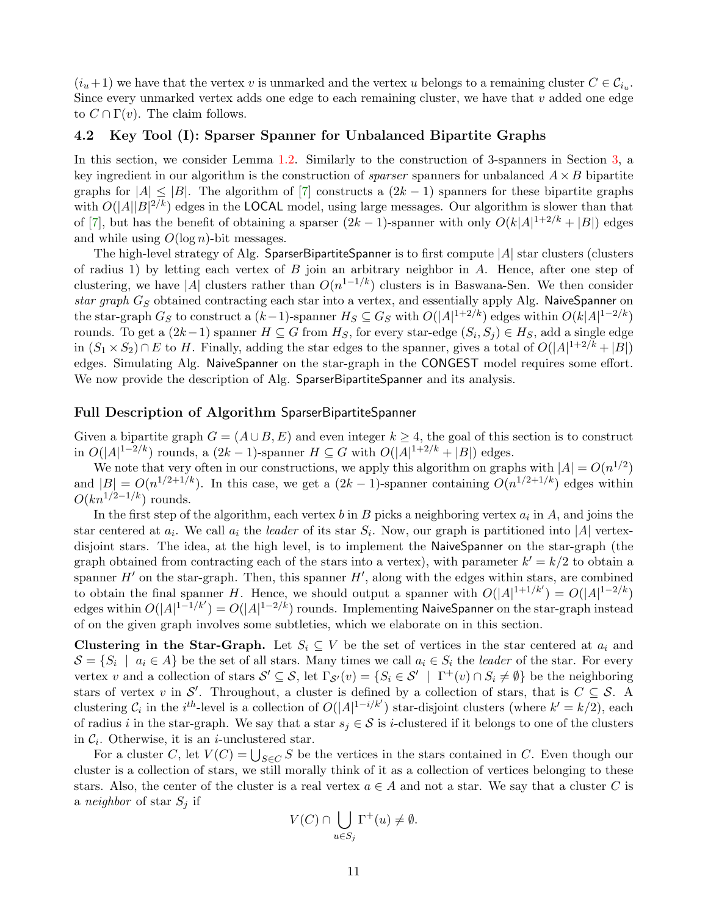$(i_u+1)$  we have that the vertex v is unmarked and the vertex u belongs to a remaining cluster  $C \in \mathcal{C}_{i_u}$ . Since every unmarked vertex adds one edge to each remaining cluster, we have that  $v$  added one edge to  $C \cap \Gamma(v)$ . The claim follows.

#### <span id="page-10-0"></span>4.2 Key Tool (I): Sparser Spanner for Unbalanced Bipartite Graphs

In this section, we consider Lemma [1.2.](#page-2-5) Similarly to the construction of 3-spanners in Section [3,](#page-5-0) a key ingredient in our algorithm is the construction of *sparser* spanners for unbalanced  $A \times B$  bipartite graphs for  $|A| \leq |B|$ . The algorithm of [\[7\]](#page-23-3) constructs a  $(2k-1)$  spanners for these bipartite graphs with  $O(|A||B|^{2/k})$  edges in the LOCAL model, using large messages. Our algorithm is slower than that of [\[7\]](#page-23-3), but has the benefit of obtaining a sparser  $(2k-1)$ -spanner with only  $O(k|A|^{1+2/k} + |B|)$  edges and while using  $O(\log n)$ -bit messages.

The high-level strategy of Alg. SparserBipartiteSpanner is to first compute  $|A|$  star clusters (clusters of radius 1) by letting each vertex of  $B$  join an arbitrary neighbor in  $A$ . Hence, after one step of clustering, we have |A| clusters rather than  $O(n^{1-1/k})$  clusters is in Baswana-Sen. We then consider star graph  $G_S$  obtained contracting each star into a vertex, and essentially apply Alg. NaiveSpanner on the star-graph  $G_S$  to construct a  $(k-1)$ -spanner  $H_S \subseteq G_S$  with  $O(|A|^{1+2/k})$  edges within  $O(k|A|^{1-2/k})$ rounds. To get a  $(2k-1)$  spanner  $H \subseteq G$  from  $H_S$ , for every star-edge  $(S_i, S_j) \in H_S$ , add a single edge in  $(S_1 \times S_2) \cap E$  to H. Finally, adding the star edges to the spanner, gives a total of  $O(|A|^{1+2/k} + |B|)$ edges. Simulating Alg. NaiveSpanner on the star-graph in the CONGEST model requires some effort. We now provide the description of Alg. SparserBipartiteSpanner and its analysis.

#### Full Description of Algorithm SparserBipartiteSpanner

Given a bipartite graph  $G = (A \cup B, E)$  and even integer  $k \geq 4$ , the goal of this section is to construct in  $O(|A|^{1-2/k})$  rounds, a  $(2k-1)$ -spanner  $H \subseteq G$  with  $O(|A|^{1+2/k} + |B|)$  edges.

We note that very often in our constructions, we apply this algorithm on graphs with  $|A| = O(n^{1/2})$ and  $|B| = O(n^{1/2+1/k})$ . In this case, we get a  $(2k-1)$ -spanner containing  $O(n^{1/2+1/k})$  edges within  $O(kn^{1/2-1/k})$  rounds.

In the first step of the algorithm, each vertex b in B picks a neighboring vertex  $a_i$  in A, and joins the star centered at  $a_i$ . We call  $a_i$  the leader of its star  $S_i$ . Now, our graph is partitioned into |A| vertexdisjoint stars. The idea, at the high level, is to implement the NaiveSpanner on the star-graph (the graph obtained from contracting each of the stars into a vertex), with parameter  $k' = k/2$  to obtain a spanner  $H'$  on the star-graph. Then, this spanner  $H'$ , along with the edges within stars, are combined to obtain the final spanner H. Hence, we should output a spanner with  $O(|A|^{1+1/k'}) = O(|A|^{1-2/k})$ edges within  $O(|A|^{1-1/k'})=O(|A|^{1-2/k})$  rounds. Implementing NaiveSpanner on the star-graph instead of on the given graph involves some subtleties, which we elaborate on in this section.

Clustering in the Star-Graph. Let  $S_i \subseteq V$  be the set of vertices in the star centered at  $a_i$  and  $S = \{S_i \mid a_i \in A\}$  be the set of all stars. Many times we call  $a_i \in S_i$  the *leader* of the star. For every vertex v and a collection of stars  $\mathcal{S}' \subseteq \mathcal{S}$ , let  $\Gamma_{\mathcal{S}'}(v) = \{S_i \in \mathcal{S}' \mid \Gamma^+(v) \cap S_i \neq \emptyset\}$  be the neighboring stars of vertex v in S'. Throughout, a cluster is defined by a collection of stars, that is  $C \subseteq S$ . A clustering  $C_i$  in the i<sup>th</sup>-level is a collection of  $O(|A|^{1-i/k'})$  star-disjoint clusters (where  $k' = k/2$ ), each of radius i in the star-graph. We say that a star  $s_i \in S$  is i-clustered if it belongs to one of the clusters in  $C_i$ . Otherwise, it is an *i*-unclustered star.

For a cluster C, let  $V(C) = \bigcup_{S \in C} S$  be the vertices in the stars contained in C. Even though our cluster is a collection of stars, we still morally think of it as a collection of vertices belonging to these stars. Also, the center of the cluster is a real vertex  $a \in A$  and not a star. We say that a cluster C is a *neighbor* of star  $S_i$  if

$$
V(C) \cap \bigcup_{u \in S_j} \Gamma^+(u) \neq \emptyset.
$$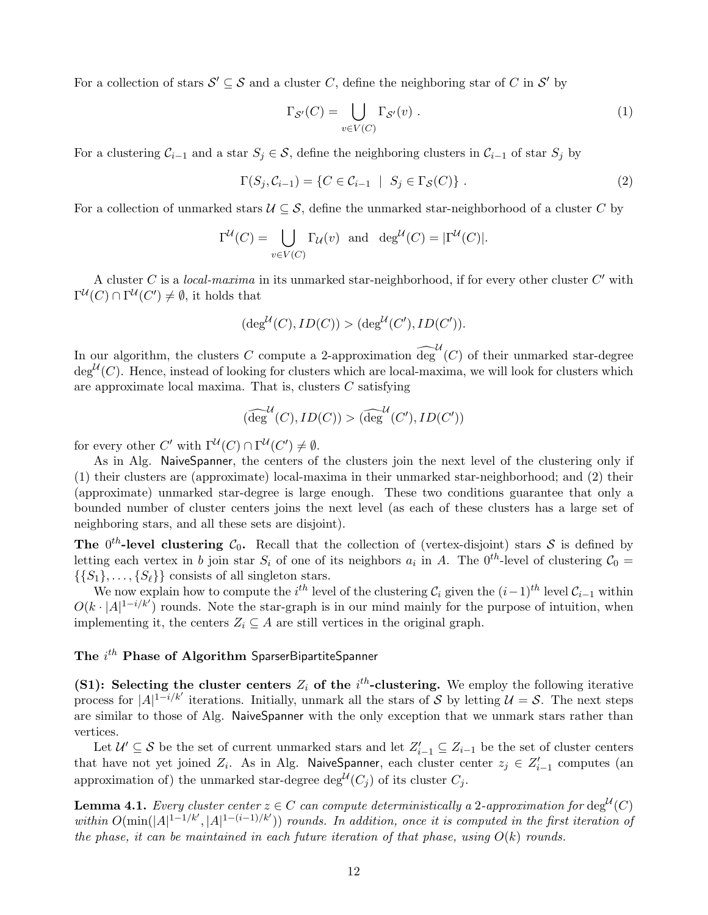For a collection of stars  $S' \subseteq S$  and a cluster C, define the neighboring star of C in S' by

$$
\Gamma_{\mathcal{S}'}(C) = \bigcup_{v \in V(C)} \Gamma_{\mathcal{S}'}(v) . \tag{1}
$$

For a clustering  $C_{i-1}$  and a star  $S_j \in \mathcal{S}$ , define the neighboring clusters in  $C_{i-1}$  of star  $S_j$  by

<span id="page-11-0"></span>
$$
\Gamma(S_j, C_{i-1}) = \{ C \in C_{i-1} \mid S_j \in \Gamma_{\mathcal{S}}(C) \} .
$$
\n
$$
(2)
$$

For a collection of unmarked stars  $U \subseteq S$ , define the unmarked star-neighborhood of a cluster C by

$$
\Gamma^{\mathcal{U}}(C) = \bigcup_{v \in V(C)} \Gamma_{\mathcal{U}}(v) \text{ and } \deg^{\mathcal{U}}(C) = |\Gamma^{\mathcal{U}}(C)|.
$$

A cluster C is a *local-maxima* in its unmarked star-neighborhood, if for every other cluster  $C'$  with  $\Gamma^{\mathcal{U}}(C) \cap \Gamma^{\mathcal{U}}(C') \neq \emptyset$ , it holds that

$$
(\deg^{\mathcal{U}}(C), ID(C)) > (\deg^{\mathcal{U}}(C'), ID(C')).
$$

In our algorithm, the clusters C compute a 2-approximation  $\widehat{\deg}^{\mathcal{U}}(C)$  of their unmarked star-degree  $\deg^{\mathcal{U}}(C)$ . Hence, instead of looking for clusters which are local-maxima, we will look for clusters which are approximate local maxima. That is, clusters C satisfying

$$
(\widehat{\deg}^{\mathcal{U}}(C), ID(C)) > (\widehat{\deg}^{\mathcal{U}}(C'), ID(C'))
$$

for every other C' with  $\Gamma^{\mathcal{U}}(C) \cap \Gamma^{\mathcal{U}}(C') \neq \emptyset$ .

As in Alg. NaiveSpanner, the centers of the clusters join the next level of the clustering only if (1) their clusters are (approximate) local-maxima in their unmarked star-neighborhood; and (2) their (approximate) unmarked star-degree is large enough. These two conditions guarantee that only a bounded number of cluster centers joins the next level (as each of these clusters has a large set of neighboring stars, and all these sets are disjoint).

The  $0^{th}$ -level clustering  $C_0$ . Recall that the collection of (vertex-disjoint) stars S is defined by letting each vertex in b join star  $S_i$  of one of its neighbors  $a_i$  in A. The  $0^{th}$ -level of clustering  $C_0 =$  $\{\{S_1\}, \ldots, \{S_\ell\}\}\$ consists of all singleton stars.

We now explain how to compute the  $i^{th}$  level of the clustering  $\mathcal{C}_i$  given the  $(i-1)^{th}$  level  $\mathcal{C}_{i-1}$  within  $O(k \cdot |A|^{1-i/k'})$  rounds. Note the star-graph is in our mind mainly for the purpose of intuition, when implementing it, the centers  $Z_i \subseteq A$  are still vertices in the original graph.

### The  $i^{th}$  Phase of Algorithm SparserBipartiteSpanner

(S1): Selecting the cluster centers  $Z_i$  of the i<sup>th</sup>-clustering. We employ the following iterative process for  $|A|^{1-i/k'}$  iterations. Initially, unmark all the stars of S by letting  $\mathcal{U} = \mathcal{S}$ . The next steps are similar to those of Alg. NaiveSpanner with the only exception that we unmark stars rather than vertices.

Let  $\mathcal{U}' \subseteq \mathcal{S}$  be the set of current unmarked stars and let  $Z'_{i-1} \subseteq Z_{i-1}$  be the set of cluster centers that have not yet joined  $Z_i$ . As in Alg. NaiveSpanner, each cluster center  $z_j \in Z'_{i-1}$  computes (an approximation of) the unmarked star-degree  $\deg^{\mathcal{U}}(C_j)$  of its cluster  $C_j$ .

<span id="page-11-1"></span>**Lemma 4.1.** Every cluster center  $z \in C$  can compute deterministically a 2-approximation for  $\deg^{\mathcal{U}}(C)$ within  $O(\min(|A|^{1-1/k'}, |A|^{1-(i-1)/k'}))$  rounds. In addition, once it is computed in the first iteration of the phase, it can be maintained in each future iteration of that phase, using  $O(k)$  rounds.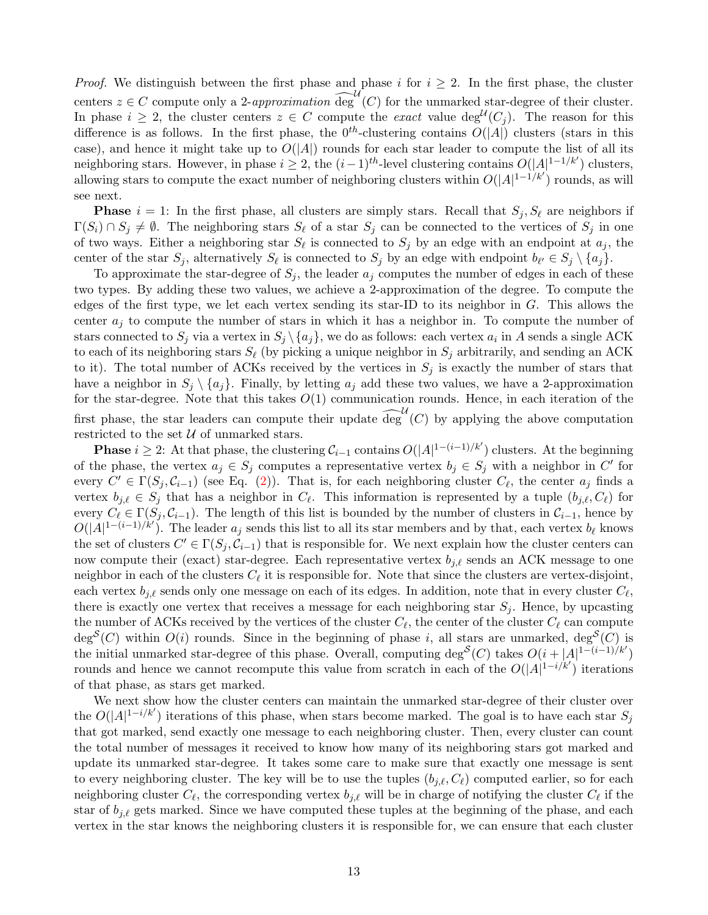*Proof.* We distinguish between the first phase and phase i for  $i \geq 2$ . In the first phase, the cluster centers  $z \in C$  compute only a 2-approximation  $\widehat{\deg}^{\mathcal{U}}(C)$  for the unmarked star-degree of their cluster. In phase  $i \geq 2$ , the cluster centers  $z \in C$  compute the *exact* value  $\deg^{\mathcal{U}}(C_j)$ . The reason for this difference is as follows. In the first phase, the  $0^{th}$ -clustering contains  $O(|A|)$  clusters (stars in this case), and hence it might take up to  $O(|A|)$  rounds for each star leader to compute the list of all its neighboring stars. However, in phase  $i \geq 2$ , the  $(i-1)^{th}$ -level clustering contains  $O(|A|^{1-1/k'})$  clusters, allowing stars to compute the exact number of neighboring clusters within  $O(|A|^{1-1/k'})$  rounds, as will see next.

**Phase**  $i = 1$ : In the first phase, all clusters are simply stars. Recall that  $S_i$ ,  $S_\ell$  are neighbors if  $\Gamma(S_i) \cap S_j \neq \emptyset$ . The neighboring stars  $S_\ell$  of a star  $S_j$  can be connected to the vertices of  $S_j$  in one of two ways. Either a neighboring star  $S_{\ell}$  is connected to  $S_j$  by an edge with an endpoint at  $a_j$ , the center of the star  $S_j$ , alternatively  $S_\ell$  is connected to  $S_j$  by an edge with endpoint  $b_{\ell'} \in S_j \setminus \{a_j\}$ .

To approximate the star-degree of  $S_j$ , the leader  $a_j$  computes the number of edges in each of these two types. By adding these two values, we achieve a 2-approximation of the degree. To compute the edges of the first type, we let each vertex sending its star-ID to its neighbor in G. This allows the center  $a_j$  to compute the number of stars in which it has a neighbor in. To compute the number of stars connected to  $S_j$  via a vertex in  $S_j \setminus \{a_j\}$ , we do as follows: each vertex  $a_i$  in A sends a single ACK to each of its neighboring stars  $S_\ell$  (by picking a unique neighbor in  $S_i$  arbitrarily, and sending an ACK to it). The total number of ACKs received by the vertices in  $S_i$  is exactly the number of stars that have a neighbor in  $S_i \setminus \{a_i\}$ . Finally, by letting  $a_i$  add these two values, we have a 2-approximation for the star-degree. Note that this takes  $O(1)$  communication rounds. Hence, in each iteration of the first phase, the star leaders can compute their update  $\widehat{\deg}^U(C)$  by applying the above computation restricted to the set  $\mathcal U$  of unmarked stars.

**Phase**  $i \geq 2$ : At that phase, the clustering  $\mathcal{C}_{i-1}$  contains  $O(|A|^{1-(i-1)/k'})$  clusters. At the beginning of the phase, the vertex  $a_j \in S_j$  computes a representative vertex  $b_j \in S_j$  with a neighbor in C' for every  $C' \in \Gamma(S_j, C_{i-1})$  (see Eq. [\(2\)](#page-11-0)). That is, for each neighboring cluster  $C_{\ell}$ , the center  $a_j$  finds a vertex  $b_{j,\ell} \in S_j$  that has a neighbor in  $C_{\ell}$ . This information is represented by a tuple  $(b_{j,\ell}, C_{\ell})$  for every  $C_\ell \in \Gamma(S_j, C_{i-1})$ . The length of this list is bounded by the number of clusters in  $C_{i-1}$ , hence by  $O(|A|^{1-(i-1)/k'})$ . The leader  $a_j$  sends this list to all its star members and by that, each vertex  $b_\ell$  knows the set of clusters  $C' \in \Gamma(S_j, C_{i-1})$  that is responsible for. We next explain how the cluster centers can now compute their (exact) star-degree. Each representative vertex  $b_{j,\ell}$  sends an ACK message to one neighbor in each of the clusters  $C_{\ell}$  it is responsible for. Note that since the clusters are vertex-disjoint, each vertex  $b_{j,\ell}$  sends only one message on each of its edges. In addition, note that in every cluster  $C_{\ell}$ , there is exactly one vertex that receives a message for each neighboring star  $S_i$ . Hence, by upcasting the number of ACKs received by the vertices of the cluster  $C_{\ell}$ , the center of the cluster  $C_{\ell}$  can compute  $\deg^{\mathcal{S}}(C)$  within  $O(i)$  rounds. Since in the beginning of phase i, all stars are unmarked,  $\deg^{\mathcal{S}}(C)$  is the initial unmarked star-degree of this phase. Overall, computing deg<sup>S</sup>(C) takes  $O(i+|A|^{1-(i-1)/k'})$ rounds and hence we cannot recompute this value from scratch in each of the  $O(|A|^{1-i/k'})$  iterations of that phase, as stars get marked.

We next show how the cluster centers can maintain the unmarked star-degree of their cluster over the  $O(|A|^{1-i/k'})$  iterations of this phase, when stars become marked. The goal is to have each star  $S_j$ that got marked, send exactly one message to each neighboring cluster. Then, every cluster can count the total number of messages it received to know how many of its neighboring stars got marked and update its unmarked star-degree. It takes some care to make sure that exactly one message is sent to every neighboring cluster. The key will be to use the tuples  $(b_{i,\ell}, C_{\ell})$  computed earlier, so for each neighboring cluster  $C_\ell$ , the corresponding vertex  $b_{j,\ell}$  will be in charge of notifying the cluster  $C_\ell$  if the star of  $b_{j,\ell}$  gets marked. Since we have computed these tuples at the beginning of the phase, and each vertex in the star knows the neighboring clusters it is responsible for, we can ensure that each cluster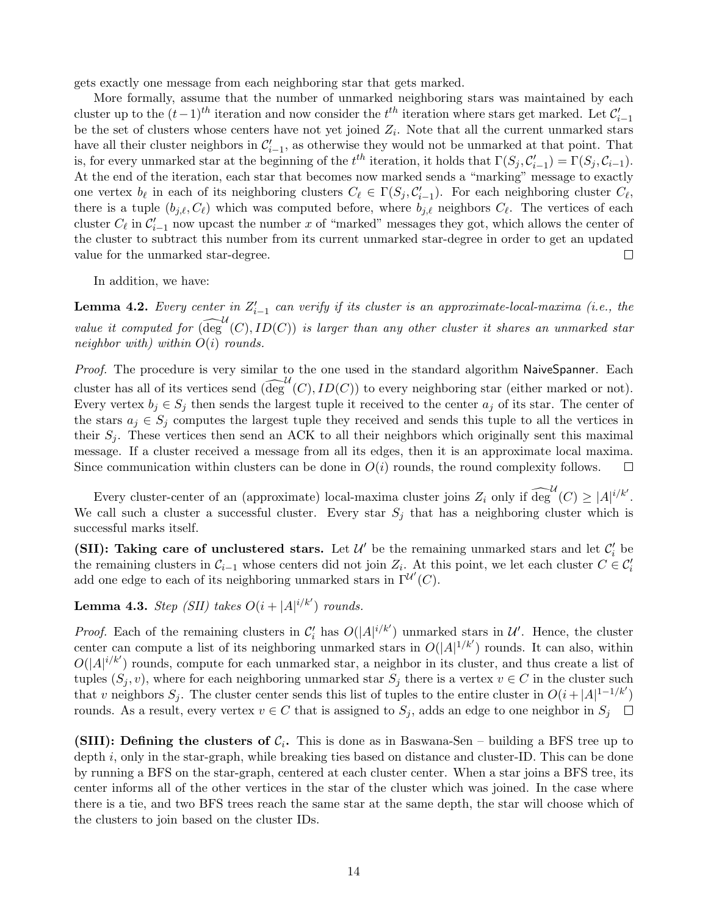gets exactly one message from each neighboring star that gets marked.

More formally, assume that the number of unmarked neighboring stars was maintained by each cluster up to the  $(t-1)$ <sup>th</sup> iteration and now consider the t<sup>th</sup> iteration where stars get marked. Let  $\mathcal{C}'_{i-1}$ be the set of clusters whose centers have not yet joined  $Z_i$ . Note that all the current unmarked stars have all their cluster neighbors in  $\mathcal{C}'_{i-1}$ , as otherwise they would not be unmarked at that point. That is, for every unmarked star at the beginning of the  $t^{th}$  iteration, it holds that  $\Gamma(S_j, C_{i-1}') = \Gamma(S_j, C_{i-1})$ . At the end of the iteration, each star that becomes now marked sends a "marking" message to exactly one vertex  $b_\ell$  in each of its neighboring clusters  $C_\ell \in \Gamma(S_j, C_{i-1}')$ . For each neighboring cluster  $C_\ell$ , there is a tuple  $(b_{j,\ell}, C_{\ell})$  which was computed before, where  $b_{j,\ell}$  neighbors  $C_{\ell}$ . The vertices of each cluster  $C_{\ell}$  in  $C_{i-1}'$  now upcast the number x of "marked" messages they got, which allows the center of the cluster to subtract this number from its current unmarked star-degree in order to get an updated value for the unmarked star-degree.  $\Box$ 

In addition, we have:

<span id="page-13-0"></span>**Lemma 4.2.** Every center in  $Z'_{i-1}$  can verify if its cluster is an approximate-local-maxima (i.e., the value it computed for  $\widehat{(\deg}^{\mathcal{U}}(C), ID(C))$  is larger than any other cluster it shares an unmarked star neighbor with) within  $O(i)$  rounds.

Proof. The procedure is very similar to the one used in the standard algorithm NaiveSpanner. Each cluster has all of its vertices send  $\widehat{(\deg^{U}(C), ID(C)})$  to every neighboring star (either marked or not). Every vertex  $b_i \in S_i$  then sends the largest tuple it received to the center  $a_i$  of its star. The center of the stars  $a_j \in S_j$  computes the largest tuple they received and sends this tuple to all the vertices in their  $S_j$ . These vertices then send an ACK to all their neighbors which originally sent this maximal message. If a cluster received a message from all its edges, then it is an approximate local maxima. Since communication within clusters can be done in  $O(i)$  rounds, the round complexity follows.  $\Box$ 

Every cluster-center of an (approximate) local-maxima cluster joins  $Z_i$  only if  $\widehat{\deg}^{\mathcal{U}}(C) \geq |A|^{i/k'}$ . We call such a cluster a successful cluster. Every star  $S_j$  that has a neighboring cluster which is successful marks itself.

(SII): Taking care of unclustered stars. Let  $\mathcal{U}'$  be the remaining unmarked stars and let  $\mathcal{C}'_i$  be the remaining clusters in  $\mathcal{C}_{i-1}$  whose centers did not join  $Z_i$ . At this point, we let each cluster  $C \in \mathcal{C}'_i$ add one edge to each of its neighboring unmarked stars in  $\Gamma^{\mathcal{U}'}(C)$ .

<span id="page-13-1"></span>**Lemma 4.3.** Step (SII) takes  $O(i + |A|^{i/k'})$  rounds.

*Proof.* Each of the remaining clusters in  $\mathcal{C}'_i$  has  $O(|A|^{i/k'})$  unmarked stars in  $\mathcal{U}'$ . Hence, the cluster center can compute a list of its neighboring unmarked stars in  $O(|A|^{1/k'})$  rounds. It can also, within  $O(|A|^{i/k'})$  rounds, compute for each unmarked star, a neighbor in its cluster, and thus create a list of tuples  $(S_j, v)$ , where for each neighboring unmarked star  $S_j$  there is a vertex  $v \in C$  in the cluster such that v neighbors  $S_j$ . The cluster center sends this list of tuples to the entire cluster in  $O(i+|A|^{1-1/k'})$ rounds. As a result, every vertex  $v \in C$  that is assigned to  $S_j$ , adds an edge to one neighbor in  $S_j$ 

(SIII): Defining the clusters of  $C_i$ . This is done as in Baswana-Sen – building a BFS tree up to depth  $i$ , only in the star-graph, while breaking ties based on distance and cluster-ID. This can be done by running a BFS on the star-graph, centered at each cluster center. When a star joins a BFS tree, its center informs all of the other vertices in the star of the cluster which was joined. In the case where there is a tie, and two BFS trees reach the same star at the same depth, the star will choose which of the clusters to join based on the cluster IDs.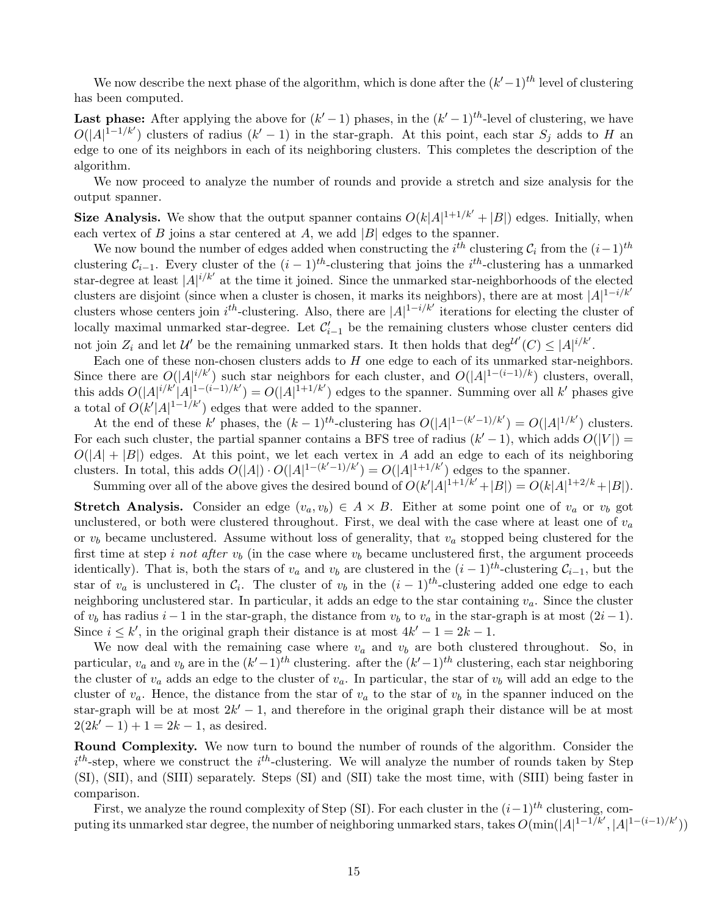We now describe the next phase of the algorithm, which is done after the  $(k'-1)^{th}$  level of clustering has been computed.

**Last phase:** After applying the above for  $(k'-1)$  phases, in the  $(k'-1)^{th}$ -level of clustering, we have  $O(|A|^{1-1/k'})$  clusters of radius  $(k'-1)$  in the star-graph. At this point, each star  $S_j$  adds to H an edge to one of its neighbors in each of its neighboring clusters. This completes the description of the algorithm.

We now proceed to analyze the number of rounds and provide a stretch and size analysis for the output spanner.

**Size Analysis.** We show that the output spanner contains  $O(k|A|^{1+1/k'} + |B|)$  edges. Initially, when each vertex of  $B$  joins a star centered at  $A$ , we add  $|B|$  edges to the spanner.

We now bound the number of edges added when constructing the  $i^{th}$  clustering  $C_i$  from the  $(i-1)^{th}$ clustering  $\mathcal{C}_{i-1}$ . Every cluster of the  $(i-1)^{th}$ -clustering that joins the i<sup>th</sup>-clustering has a unmarked star-degree at least  $|A|^{i/k'}$  at the time it joined. Since the unmarked star-neighborhoods of the elected clusters are disjoint (since when a cluster is chosen, it marks its neighbors), there are at most  $|A|^{1-i/k'}$ clusters whose centers join  $i^{th}$ -clustering. Also, there are  $|A|^{1-i/k'}$  iterations for electing the cluster of locally maximal unmarked star-degree. Let  $\mathcal{C}'_{i-1}$  be the remaining clusters whose cluster centers did not join  $Z_i$  and let  $\mathcal{U}'$  be the remaining unmarked stars. It then holds that  $\deg^{\mathcal{U}'}(C) \leq |A|^{i/k'}$ .

Each one of these non-chosen clusters adds to  $H$  one edge to each of its unmarked star-neighbors. Since there are  $O(|A|^{i/k'})$  such star neighbors for each cluster, and  $O(|A|^{1-(i-1)/k})$  clusters, overall, this adds  $O(|A|^{i/k'}|A|^{1-(i-1)/k'}) = O(|A|^{1+1/k'})$  edges to the spanner. Summing over all k' phases give a total of  $O(k'|A|^{1-1/k'})$  edges that were added to the spanner.

At the end of these k' phases, the  $(k-1)^{th}$ -clustering has  $O(|A|^{1-(k'-1)/k'}) = O(|A|^{1/k'})$  clusters. For each such cluster, the partial spanner contains a BFS tree of radius  $(k'-1)$ , which adds  $O(|V|)$  =  $O(|A| + |B|)$  edges. At this point, we let each vertex in A add an edge to each of its neighboring clusters. In total, this adds  $O(|A|) \cdot O(|A|^{1-(k'-1)/k'}) = O(|A|^{1+1/k'})$  edges to the spanner.

Summing over all of the above gives the desired bound of  $O(k'|A|^{1+1/k'} + |B|) = O(k|A|^{1+2/k} + |B|)$ .

Stretch Analysis. Consider an edge  $(v_a, v_b) \in A \times B$ . Either at some point one of  $v_a$  or  $v_b$  got unclustered, or both were clustered throughout. First, we deal with the case where at least one of  $v_a$ or  $v_b$  became unclustered. Assume without loss of generality, that  $v_a$  stopped being clustered for the first time at step *i not after*  $v<sub>b</sub>$  (in the case where  $v<sub>b</sub>$  became unclustered first, the argument proceeds identically). That is, both the stars of  $v_a$  and  $v_b$  are clustered in the  $(i-1)$ <sup>th</sup>-clustering  $\mathcal{C}_{i-1}$ , but the star of  $v_a$  is unclustered in  $\mathcal{C}_i$ . The cluster of  $v_b$  in the  $(i-1)^{th}$ -clustering added one edge to each neighboring unclustered star. In particular, it adds an edge to the star containing  $v_a$ . Since the cluster of  $v_b$  has radius  $i - 1$  in the star-graph, the distance from  $v_b$  to  $v_a$  in the star-graph is at most  $(2i - 1)$ . Since  $i \leq k'$ , in the original graph their distance is at most  $4k' - 1 = 2k - 1$ .

We now deal with the remaining case where  $v_a$  and  $v_b$  are both clustered throughout. So, in particular,  $v_a$  and  $v_b$  are in the  $(k'-1)^{th}$  clustering. after the  $(k'-1)^{th}$  clustering, each star neighboring the cluster of  $v_a$  adds an edge to the cluster of  $v_a$ . In particular, the star of  $v_b$  will add an edge to the cluster of  $v_a$ . Hence, the distance from the star of  $v_a$  to the star of  $v_b$  in the spanner induced on the star-graph will be at most  $2k' - 1$ , and therefore in the original graph their distance will be at most  $2(2k'-1)+1=2k-1$ , as desired.

Round Complexity. We now turn to bound the number of rounds of the algorithm. Consider the  $i<sup>th</sup>$ -step, where we construct the  $i<sup>th</sup>$ -clustering. We will analyze the number of rounds taken by Step (SI), (SII), and (SIII) separately. Steps (SI) and (SII) take the most time, with (SIII) being faster in comparison.

First, we analyze the round complexity of Step (SI). For each cluster in the  $(i-1)^{th}$  clustering, computing its unmarked star degree, the number of neighboring unmarked stars, takes  $O(\min(|A|^{1-1/k'}, |A|^{1-(i-1)/k'}))$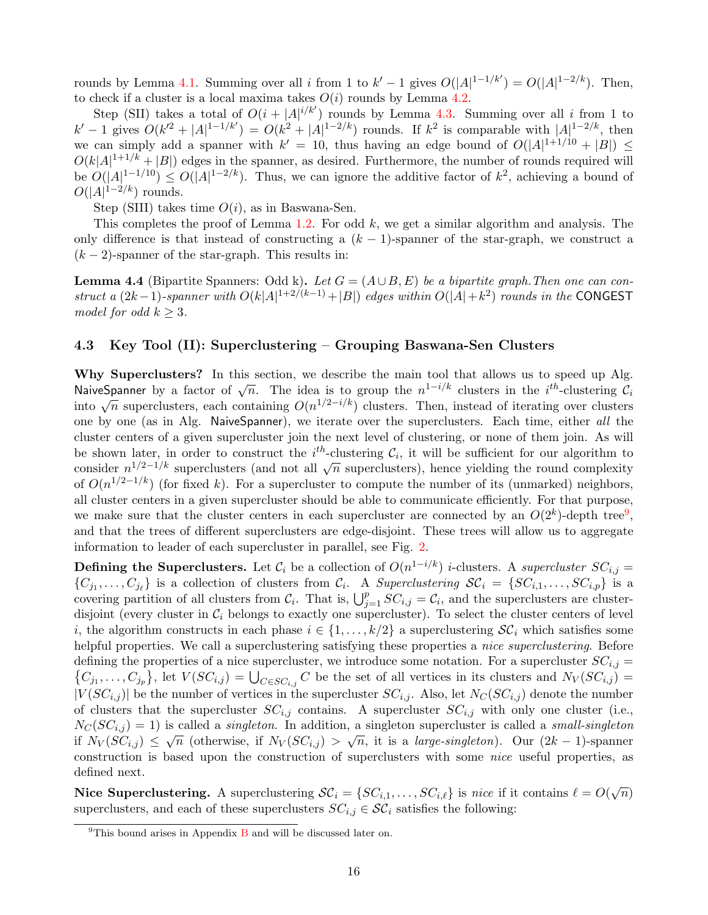rounds by Lemma [4.1.](#page-11-1) Summing over all i from 1 to  $k' - 1$  gives  $O(|A|^{1-1/k'}) = O(|A|^{1-2/k})$ . Then, to check if a cluster is a local maxima takes  $O(i)$  rounds by Lemma [4.2.](#page-13-0)

Step (SII) takes a total of  $O(i+|A|^{i/k'})$  rounds by Lemma [4.3.](#page-13-1) Summing over all i from 1 to  $k' - 1$  gives  $O(k'^2 + |A|^{1-1/k'}) = O(k^2 + |A|^{1-2/k})$  rounds. If  $k^2$  is comparable with  $|A|^{1-2/k}$ , then we can simply add a spanner with  $k' = 10$ , thus having an edge bound of  $O(|A|^{1+1/10} + |B|) \le$  $O(k|A|^{1+1/k} + |B|)$  edges in the spanner, as desired. Furthermore, the number of rounds required will be  $O(|A|^{1-1/10}) \leq O(|A|^{1-2/k})$ . Thus, we can ignore the additive factor of  $k^2$ , achieving a bound of  $O(|A|^{1-2/k})$  rounds.

Step (SIII) takes time  $O(i)$ , as in Baswana-Sen.

This completes the proof of Lemma [1.2.](#page-2-5) For odd  $k$ , we get a similar algorithm and analysis. The only difference is that instead of constructing a  $(k-1)$ -spanner of the star-graph, we construct a  $(k-2)$ -spanner of the star-graph. This results in:

**Lemma 4.4** (Bipartite Spanners: Odd k). Let  $G = (A \cup B, E)$  be a bipartite graph. Then one can construct a  $(2k-1)$ -spanner with  $O(k|A|^{1+2/(k-1)}+|B|)$  edges within  $O(|A|+k^2)$  rounds in the CONGEST model for odd  $k \geq 3$ .

#### <span id="page-15-0"></span>4.3 Key Tool (II): Superclustering – Grouping Baswana-Sen Clusters

Why Superclusters? In this section, we describe the main tool that allows us to speed up Alg. **NaiveSpanner** by a factor of  $\sqrt{n}$ . The idea is to group the  $n^{1-i/k}$  clusters in the *i*<sup>th</sup>-clustering  $C_i$ into  $\sqrt{n}$  superclusters, each containing  $O(n^{1/2-i/k})$  clusters. Then, instead of iterating over clusters in the  $i$ -clusters in the  $i$ -clustering  $C_i$ one by one (as in Alg. NaiveSpanner), we iterate over the superclusters. Each time, either all the cluster centers of a given supercluster join the next level of clustering, or none of them join. As will be shown later, in order to construct the  $i^{th}$ -clustering  $\mathcal{C}_i$ , it will be sufficient for our algorithm to consider  $n^{1/2-1/k}$  superclusters (and not all  $\sqrt{n}$  superclusters), hence yielding the round complexity of  $O(n^{1/2-1/k})$  (for fixed k). For a supercluster to compute the number of its (unmarked) neighbors, all cluster centers in a given supercluster should be able to communicate efficiently. For that purpose, we make sure that the cluster centers in each supercluster are connected by an  $O(2^k)$ -depth tree<sup>[9](#page-15-1)</sup>, and that the trees of different superclusters are edge-disjoint. These trees will allow us to aggregate information to leader of each supercluster in parallel, see Fig. [2.](#page-16-0)

**Defining the Superclusters.** Let  $\mathcal{C}_i$  be a collection of  $O(n^{1-i/k})$  *i*-clusters. A *supercluster*  $SC_{i,j} =$  $\{C_{j_1},\ldots,C_{j_\ell}\}\$ is a collection of clusters from  $C_i$ . A Superclustering  $\mathcal{SC}_i = \{SC_{i,1},\ldots,SC_{i,p}\}\$ is a covering partition of all clusters from  $\mathcal{C}_i$ . That is,  $\bigcup_{j=1}^p SC_{i,j} = \mathcal{C}_i$ , and the superclusters are clusterdisjoint (every cluster in  $\mathcal{C}_i$  belongs to exactly one supercluster). To select the cluster centers of level i, the algorithm constructs in each phase  $i \in \{1, \ldots, k/2\}$  a superclustering  $\mathcal{SC}_i$  which satisfies some helpful properties. We call a superclustering satisfying these properties a *nice superclustering*. Before defining the properties of a nice supercluster, we introduce some notation. For a supercluster  $SC_{i,j} =$  $\{C_{j_1},\ldots,C_{j_p}\}\,$  let  $V(SC_{i,j}) = \bigcup_{C \in SC_{i,j}} C$  be the set of all vertices in its clusters and  $N_V(SC_{i,j}) =$  $|V(SC_{i,j})|$  be the number of vertices in the supercluster  $SC_{i,j}$ . Also, let  $N_C(SC_{i,j})$  denote the number of clusters that the supercluster  $SC_{i,j}$  contains. A supercluster  $SC_{i,j}$  with only one cluster (i.e.,  $N_C(SC_{i,j}) = 1$ ) is called a *singleton*. In addition, a singleton supercluster is called a *small-singleton* if  $N_V(SC_{i,j}) \leq \sqrt{n}$  (otherwise, if  $N_V(SC_{i,j}) > \sqrt{n}$ , it is a *large-singleton*). Our  $(2k-1)$ -spanner construction is based upon the construction of superclusters with some nice useful properties, as defined next.

Nice Superclustering. A superclustering  $\mathcal{SC}_i = \{SC_{i,1}, \ldots, SC_{i,\ell}\}\$ is nice if it contains  $\ell = O(\sqrt{n})$ superclusters, and each of these superclusters  $SC_{i,j} \in \mathcal{SC}_i$  satisfies the following:

<span id="page-15-1"></span> $9$ This bound arises in Appendix [B](#page-26-0) and will be discussed later on.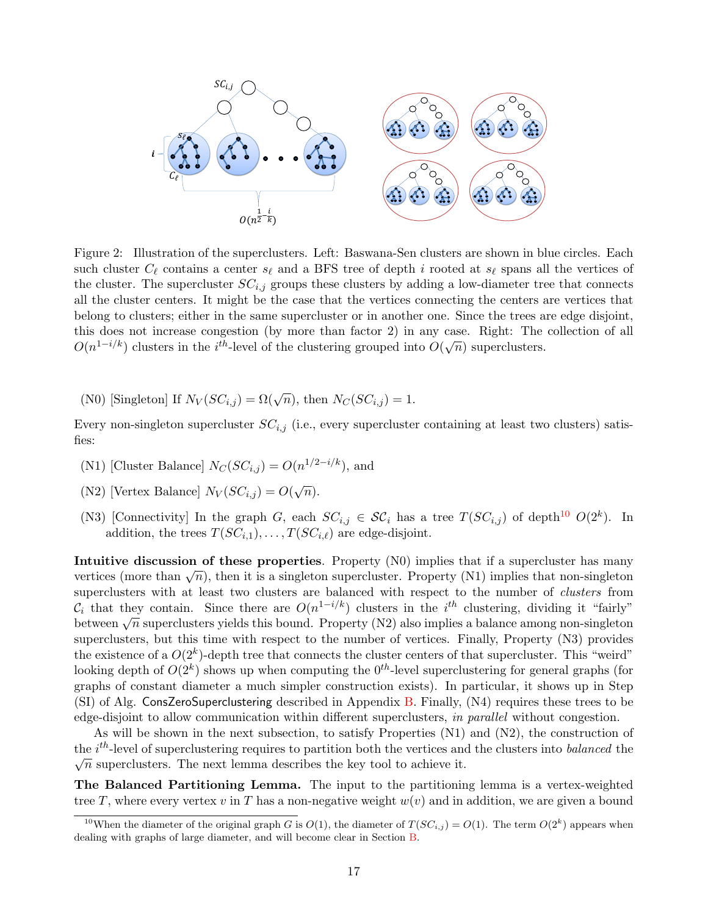

<span id="page-16-0"></span>Figure 2: Illustration of the superclusters. Left: Baswana-Sen clusters are shown in blue circles. Each such cluster  $C_\ell$  contains a center  $s_\ell$  and a BFS tree of depth i rooted at  $s_\ell$  spans all the vertices of the cluster. The supercluster  $SC_{i,j}$  groups these clusters by adding a low-diameter tree that connects all the cluster centers. It might be the case that the vertices connecting the centers are vertices that belong to clusters; either in the same supercluster or in another one. Since the trees are edge disjoint, this does not increase congestion (by more than factor 2) in any case. Right: The collection of all C( $n^{1-i/k}$ ) clusters in the i<sup>th</sup>-level of the clustering grouped into  $O(\sqrt{n})$  superclusters.

(N0) [Singleton] If  $N_V(SC_{i,j}) = \Omega(\sqrt{n})$ , then  $N_C(SC_{i,j}) = 1$ .

Every non-singleton supercluster  $SC_{i,j}$  (i.e., every supercluster containing at least two clusters) satisfies:

- (N1) [Cluster Balance]  $N_C(SC_{i,j}) = O(n^{1/2-i/k})$ , and
- (N2) [Vertex Balance]  $N_V(SC_{i,j}) = O(\sqrt{n}).$
- (N3) [Connectivity] In the graph G, each  $SC_{i,j} \in \mathcal{SC}_i$  has a tree  $T(SC_{i,j})$  of depth<sup>[10](#page-16-1)</sup>  $O(2^k)$ . In addition, the trees  $T(SC_{i,1}), \ldots, T(SC_{i,\ell})$  are edge-disjoint.

Intuitive discussion of these properties. Property (N0) implies that if a supercluster has many intuitive discussion of these properties. Troperty (N0) implies that if a supercluster has many<br>vertices (more than  $\sqrt{n}$ ), then it is a singleton supercluster. Property (N1) implies that non-singleton superclusters with at least two clusters are balanced with respect to the number of clusters from  $\mathcal{C}_i$  that they contain. Since there are  $O(n^{1-i/k})$  clusters in the i<sup>th</sup> clustering, dividing it "fairly"  $c_i$  that they contain. Since there are  $O(n^{1/2})$  clusters in the  $i$  clustering, dividing it failty between  $\sqrt{n}$  superclusters yields this bound. Property (N2) also implies a balance among non-singleton superclusters, but this time with respect to the number of vertices. Finally, Property (N3) provides the existence of a  $O(2^k)$ -depth tree that connects the cluster centers of that supercluster. This "weird" looking depth of  $O(2^k)$  shows up when computing the  $0^{th}$ -level superclustering for general graphs (for graphs of constant diameter a much simpler construction exists). In particular, it shows up in Step (SI) of Alg. ConsZeroSuperclustering described in Appendix [B.](#page-26-0) Finally, (N4) requires these trees to be edge-disjoint to allow communication within different superclusters, in parallel without congestion.

As will be shown in the next subsection, to satisfy Properties  $(N1)$  and  $(N2)$ , the construction of the *i*<sup>th</sup>-level of superclustering requires to partition both the vertices and the clusters into *balanced* the  $\sqrt{n}$  superclusters. The next lemma describes the key tool to achieve it.

The Balanced Partitioning Lemma. The input to the partitioning lemma is a vertex-weighted tree T, where every vertex v in T has a non-negative weight  $w(v)$  and in addition, we are given a bound

<span id="page-16-1"></span><sup>&</sup>lt;sup>10</sup>When the diameter of the original graph G is  $O(1)$ , the diameter of  $T(SC_{i,j}) = O(1)$ . The term  $O(2<sup>k</sup>)$  appears when dealing with graphs of large diameter, and will become clear in Section [B.](#page-26-0)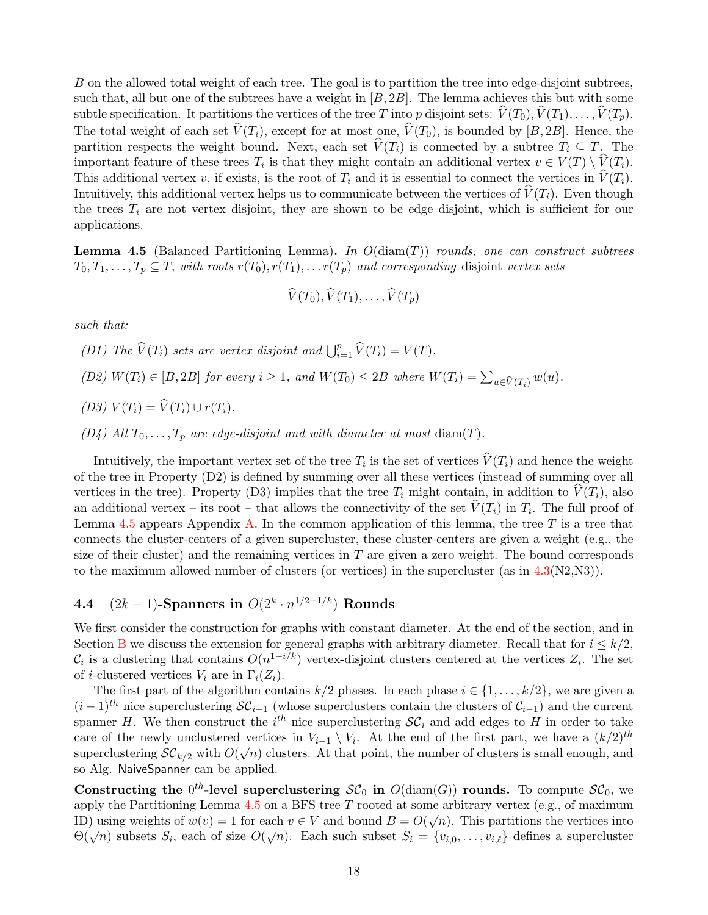B on the allowed total weight of each tree. The goal is to partition the tree into edge-disjoint subtrees, such that, all but one of the subtrees have a weight in  $[B, 2B]$ . The lemma achieves this but with some subtle specification. It partitions the vertices of the tree T into p disjoint sets:  $\hat{V}(T_0), \hat{V}(T_1), \ldots, \hat{V}(T_p)$ . The total weight of each set  $\widehat{V}(T_i)$ , except for at most one,  $\widehat{V}(T_0)$ , is bounded by [B, 2B]. Hence, the partition respects the weight bound. Next, each set  $\widehat{V}(T_i)$  is connected by a subtree  $T_i \subseteq T$ . The important feature of these trees  $T_i$  is that they might contain an additional vertex  $v \in V(T) \setminus V(T_i)$ . This additional vertex v, if exists, is the root of  $T_i$  and it is essential to connect the vertices in  $\hat{V}(T_i)$ . Intuitively, this additional vertex helps us to communicate between the vertices of  $\hat{V}(T_i)$ . Even though the trees  $T_i$  are not vertex disjoint, they are shown to be edge disjoint, which is sufficient for our applications.

<span id="page-17-1"></span>**Lemma 4.5** (Balanced Partitioning Lemma). In  $O(\text{diam}(T))$  rounds, one can construct subtrees  $T_0, T_1, \ldots, T_p \subseteq T$ , with roots  $r(T_0), r(T_1), \ldots r(T_p)$  and corresponding disjoint vertex sets

$$
\widehat{V}(T_0), \widehat{V}(T_1), \ldots, \widehat{V}(T_p)
$$

such that:

(D1) The  $\widehat{V}(T_i)$  sets are vertex disjoint and  $\bigcup_{i=1}^p \widehat{V}(T_i) = V(T)$ .

(D2)  $W(T_i) \in [B, 2B]$  for every  $i \ge 1$ , and  $W(T_0) \le 2B$  where  $W(T_i) = \sum_{u \in \widehat{V}(T_i)} w(u)$ .

(D3)  $V(T_i) = \widehat{V}(T_i) \cup r(T_i)$ .

(D4) All  $T_0, \ldots, T_p$  are edge-disjoint and with diameter at most diam(T).

Intuitively, the important vertex set of the tree  $T_i$  is the set of vertices  $V(T_i)$  and hence the weight of the tree in Property (D2) is defined by summing over all these vertices (instead of summing over all vertices in the tree). Property (D3) implies that the tree  $T_i$  might contain, in addition to  $V(T_i)$ , also an additional vertex – its root – that allows the connectivity of the set  $V(T_i)$  in  $T_i$ . The full proof of Lemma [4.5](#page-17-1) appears Appendix [A.](#page-25-0) In the common application of this lemma, the tree  $T$  is a tree that connects the cluster-centers of a given supercluster, these cluster-centers are given a weight (e.g., the size of their cluster) and the remaining vertices in  $T$  are given a zero weight. The bound corresponds to the maximum allowed number of clusters (or vertices) in the supercluster (as in  $4.3(N2,N3)$  $4.3(N2,N3)$ ).

### <span id="page-17-0"></span>**4.4** (2k – 1)-Spanners in  $O(2^k \cdot n^{1/2-1/k})$  Rounds

We first consider the construction for graphs with constant diameter. At the end of the section, and in Section [B](#page-26-0) we discuss the extension for general graphs with arbitrary diameter. Recall that for  $i \leq k/2$ ,  $\mathcal{C}_i$  is a clustering that contains  $O(n^{1-i/k})$  vertex-disjoint clusters centered at the vertices  $Z_i$ . The set of *i*-clustered vertices  $V_i$  are in  $\Gamma_i(Z_i)$ .

The first part of the algorithm contains  $k/2$  phases. In each phase  $i \in \{1, \ldots, k/2\}$ , we are given a  $(i-1)$ <sup>th</sup> nice superclustering  $\mathcal{SC}_{i-1}$  (whose superclusters contain the clusters of  $\mathcal{C}_{i-1}$ ) and the current spanner H. We then construct the  $i^{th}$  nice superclustering  $\mathcal{SC}_i$  and add edges to H in order to take care of the newly unclustered vertices in  $V_{i-1} \setminus V_i$ . At the end of the first part, we have a  $(k/2)^{th}$ superclustering  $\mathcal{SC}_{k/2}$  with  $O(\sqrt{n})$  clusters. At that point, the number of clusters is small enough, and so Alg. NaiveSpanner can be applied.

Constructing the  $0^{th}$ -level superclustering  $\mathcal{SC}_0$  in  $O(\text{diam}(G))$  rounds. To compute  $\mathcal{SC}_0$ , we apply the Partitioning Lemma [4.5](#page-17-1) on a BFS tree T rooted at some arbitrary vertex (e.g., of maximum<br>  $\sum_{n=1}^{\infty}$ ID) using weights of  $w(v) = 1$  for each  $v \in V$  and bound  $B = O(\sqrt{n})$ . This partitions the vertices into  $\Theta(\sqrt{n})$  subsets  $S_i$ , each of size  $O(\sqrt{n})$ . Each such subset  $S_i = \{v_{i,0}, \ldots, v_{i,\ell}\}\$  defines a supercluster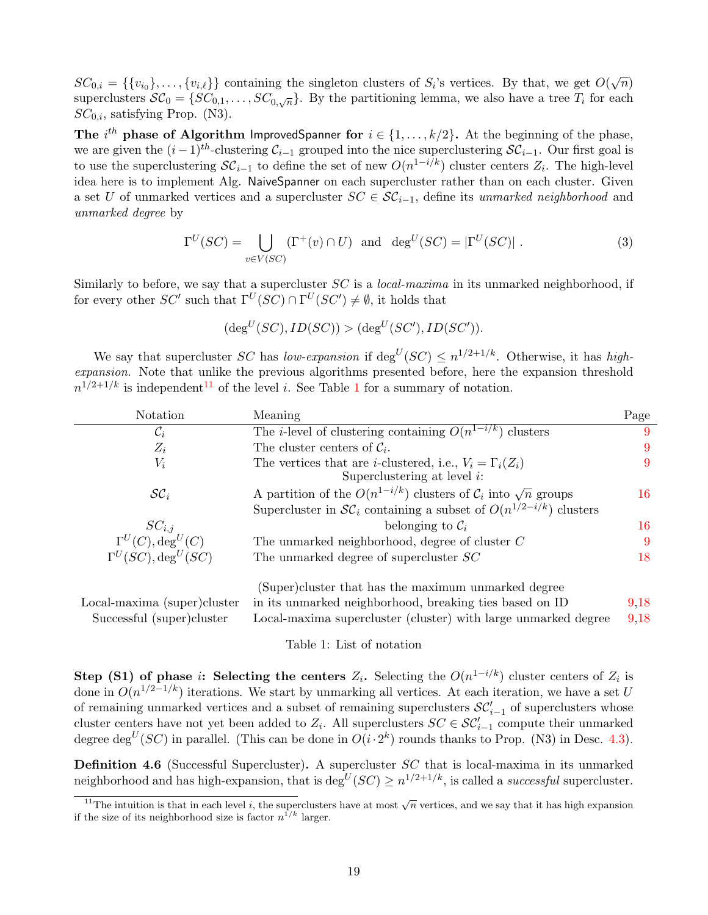$SC_{0,i} = \{\{v_{i_0}\}, \ldots, \{v_{i,\ell}\}\}\$ containing the singleton clusters of  $S_i$ 's vertices. By that, we get  $O(\sqrt{n})$ superclusters  $\mathcal{SC}_0 = \{SC_{0,1}, \ldots, SC_{0,\sqrt{n}}\}.$  By the partitioning lemma, we also have a tree  $T_i$  for each  $SC_{0,i}$ , satisfying Prop. (N3).

The i<sup>th</sup> phase of Algorithm ImprovedSpanner for  $i \in \{1, ..., k/2\}$ . At the beginning of the phase, we are given the  $(i-1)^{th}$ -clustering  $\mathcal{C}_{i-1}$  grouped into the nice superclustering  $\mathcal{SC}_{i-1}$ . Our first goal is to use the superclustering  $\mathcal{SC}_{i-1}$  to define the set of new  $O(n^{1-i/k})$  cluster centers  $Z_i$ . The high-level idea here is to implement Alg. NaiveSpanner on each supercluster rather than on each cluster. Given a set U of unmarked vertices and a supercluster  $SC \in \mathcal{SC}_{i-1}$ , define its unmarked neighborhood and unmarked degree by

$$
\Gamma^U(SC) = \bigcup_{v \in V(SC)} (\Gamma^+(v) \cap U) \text{ and } \deg^U(SC) = |\Gamma^U(SC)|.
$$
 (3)

Similarly to before, we say that a supercluster  $SC$  is a *local-maxima* in its unmarked neighborhood, if for every other  $SC'$  such that  $\Gamma^U(SC) \cap \Gamma^U(SC') \neq \emptyset$ , it holds that

$$
(\deg^U(SC), ID(SC)) > (\deg^U(SC'), ID(SC')).
$$

We say that supercluster SC has low-expansion if  $\deg^{U}(SC) \leq n^{1/2+1/k}$ . Otherwise, it has highexpansion. Note that unlike the previous algorithms presented before, here the expansion threshold  $n^{1/2+1/k}$  $n^{1/2+1/k}$  $n^{1/2+1/k}$  is independent<sup>[11](#page-18-0)</sup> of the level *i*. See Table 1 for a summary of notation.

| Notation                               | Meaning                                                                                                  | Page |
|----------------------------------------|----------------------------------------------------------------------------------------------------------|------|
| $\mathcal{C}_i$                        | The <i>i</i> -level of clustering containing $O(n^{1-i/k})$ clusters                                     | 9    |
| $Z_i$                                  | The cluster centers of $C_i$ .                                                                           | 9    |
| $V_i$                                  | The vertices that are <i>i</i> -clustered, i.e., $V_i = \Gamma_i(Z_i)$<br>Superclustering at level $i$ : | 9    |
| $\mathcal{SC}_i$                       | A partition of the $O(n^{1-i/k})$ clusters of $\mathcal{C}_i$ into $\sqrt{n}$ groups                     | 16   |
|                                        | Supercluster in $\mathcal{SC}_i$ containing a subset of $O(n^{1/2-i/k})$ clusters                        |      |
| $SC_{i,j}$                             | belonging to $\mathcal{C}_i$                                                                             | 16   |
| $\Gamma^U(C)$ , deg <sup>U</sup> $(C)$ | The unmarked neighborhood, degree of cluster $C$                                                         | 9    |
| $\Gamma^U(SC), deg^U(SC)$              | The unmarked degree of supercluster SC                                                                   | 18   |
|                                        | (Super)cluster that has the maximum unmarked degree                                                      |      |
| Local-maxima (super)cluster            | in its unmarked neighborhood, breaking ties based on ID                                                  | 9.18 |

<span id="page-18-1"></span>Table 1: List of notation

Successful (super)cluster Local-maxima supercluster (cluster) with large unmarked degree [9,](#page-8-1)[18](#page-17-0)

Step (S1) of phase i: Selecting the centers  $Z_i$ . Selecting the  $O(n^{1-i/k})$  cluster centers of  $Z_i$  is done in  $O(n^{1/2-1/k})$  iterations. We start by unmarking all vertices. At each iteration, we have a set U of remaining unmarked vertices and a subset of remaining superclusters  $\mathcal{SC}'_{i-1}$  of superclusters whose cluster centers have not yet been added to  $Z_i$ . All superclusters  $SC \in \mathcal{SC}_{i-1}'$  compute their unmarked degree deg<sup>U</sup>(SC) in parallel. (This can be done in  $O(i \cdot 2^k)$  rounds thanks to Prop. (N3) in Desc. [4.3\)](#page-16-0).

**Definition 4.6** (Successful Supercluster). A supercluster SC that is local-maxima in its unmarked neighborhood and has high-expansion, that is deg<sup>U</sup>(SC)  $\geq n^{1/2+1/k}$ , is called a *successful* supercluster.

<span id="page-18-0"></span><sup>&</sup>lt;sup>11</sup>The intuition is that in each level i, the superclusters have at most  $\sqrt{n}$  vertices, and we say that it has high expansion if the size of its neighborhood size is factor  $n^{1/k}$  larger.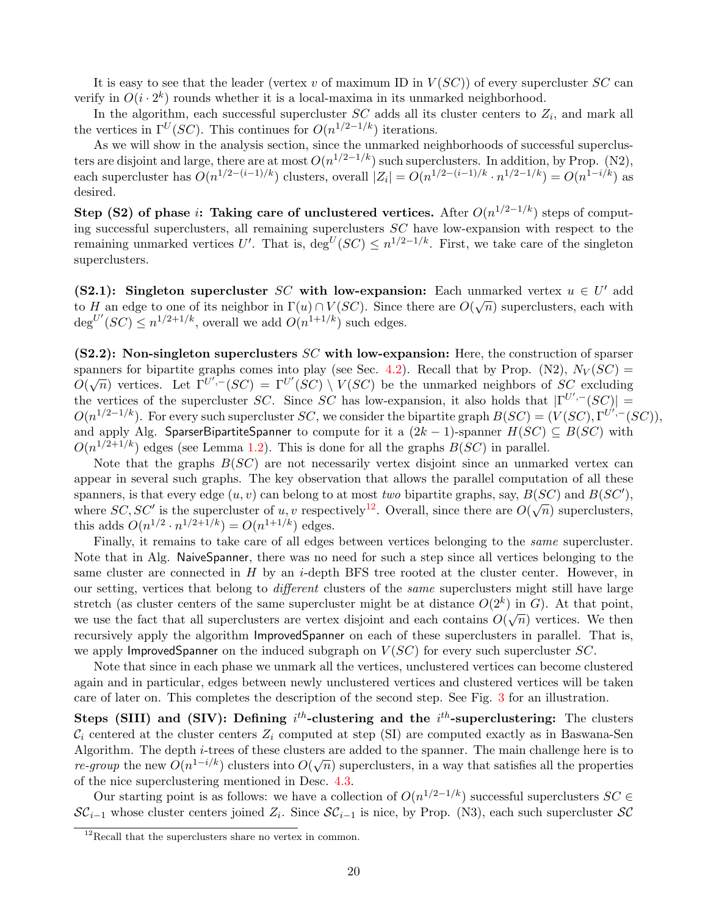It is easy to see that the leader (vertex v of maximum ID in  $V(SC)$ ) of every supercluster SC can verify in  $O(i \cdot 2^k)$  rounds whether it is a local-maxima in its unmarked neighborhood.

In the algorithm, each successful supercluster  $SC$  adds all its cluster centers to  $Z_i$ , and mark all the vertices in  $\Gamma^U(SC)$ . This continues for  $O(n^{1/2-1/k})$  iterations.

As we will show in the analysis section, since the unmarked neighborhoods of successful superclusters are disjoint and large, there are at most  $O(n^{1/2-1/k})$  such superclusters. In addition, by Prop. (N2), each supercluster has  $O(n^{1/2-(i-1)/k})$  clusters, overall  $|Z_i| = O(n^{1/2-(i-1)/k} \cdot n^{1/2-1/k}) = O(n^{1-i/k})$  as desired.

Step (S2) of phase i: Taking care of unclustered vertices. After  $O(n^{1/2-1/k})$  steps of computing successful superclusters, all remaining superclusters SC have low-expansion with respect to the remaining unmarked vertices U'. That is,  $\deg^U(SC) \leq n^{1/2-1/k}$ . First, we take care of the singleton superclusters.

(S2.1): Singleton supercluster SC with low-expansion: Each unmarked vertex  $u \in U'$  add to H an edge to one of its neighbor in  $\Gamma(u) \cap V(SC)$ . Since there are  $O(\sqrt{n})$  superclusters, each with  $\deg^{U'}(SC) \leq n^{1/2+1/k}$ , overall we add  $O(n^{1+1/k})$  such edges.

 $(S2.2)$ : Non-singleton superclusters SC with low-expansion: Here, the construction of sparser spanners for bipartite graphs comes into play (see Sec. [4.2\)](#page-10-0). Recall that by Prop. (N2),  $N_V (SC)$  = Spanners for bipartite graphs comes filled play (see Sec. 4.2). Recall that by 1 fop. (N2),  $N V(SC) =$ <br> $O(\sqrt{n})$  vertices. Let  $\Gamma^{U',-}(SC) = \Gamma^{U'}(SC) \setminus V(SC)$  be the unmarked neighbors of SC excluding the vertices of the supercluster SC. Since SC has low-expansion, it also holds that  $|\Gamma^{U',-}(SC)| =$  $O(n^{1/2-1/k})$ . For every such supercluster SC, we consider the bipartite graph  $B(SC) = (V(SC), \Gamma^{U',-}(SC)),$ and apply Alg. SparserBipartiteSpanner to compute for it a  $(2k - 1)$ -spanner  $H(SC) \subseteq B(SC)$  with  $O(n^{1/2+1/k})$  edges (see Lemma [1.2\)](#page-2-5). This is done for all the graphs  $B(SC)$  in parallel.

Note that the graphs  $B(SC)$  are not necessarily vertex disjoint since an unmarked vertex can appear in several such graphs. The key observation that allows the parallel computation of all these spanners, is that every edge  $(u, v)$  can belong to at most two bipartite graphs, say,  $B(SC)$  and  $B(SC')$ , spanners, is that every edge  $(u, v)$  can belong to at most *two* bipartite graphs, say,  $D(Dc)$  and  $D(Dc)$ , where  $SC$ ,  $SC'$  is the supercluster of u, v respectively<sup>[12](#page-19-0)</sup>. Overall, since there are  $O(\sqrt{n})$  superclusters, this adds  $O(n^{1/2} \cdot n^{1/2+1/k}) = O(n^{1+1/k})$  edges.

Finally, it remains to take care of all edges between vertices belonging to the *same* supercluster. Note that in Alg. NaiveSpanner, there was no need for such a step since all vertices belonging to the same cluster are connected in  $H$  by an *i*-depth BFS tree rooted at the cluster center. However, in our setting, vertices that belong to different clusters of the same superclusters might still have large stretch (as cluster centers of the same supercluster might be at distance  $O(2^k)$  in G). At that point, we use the fact that all superclusters are vertex disjoint and each contains  $O(\sqrt{n})$  vertices. We then recursively apply the algorithm ImprovedSpanner on each of these superclusters in parallel. That is, we apply ImprovedSpanner on the induced subgraph on  $V(SC)$  for every such supercluster  $SC$ .

Note that since in each phase we unmark all the vertices, unclustered vertices can become clustered again and in particular, edges between newly unclustered vertices and clustered vertices will be taken care of later on. This completes the description of the second step. See Fig. [3](#page-20-0) for an illustration.

Steps (SIII) and (SIV): Defining  $i^{th}$ -clustering and the  $i^{th}$ -superclustering: The clusters  $\mathcal{C}_i$  centered at the cluster centers  $Z_i$  computed at step (SI) are computed exactly as in Baswana-Sen Algorithm. The depth i-trees of these clusters are added to the spanner. The main challenge here is to  $r$ e-group the new  $O(n^{1-i/k})$  clusters into  $O(\sqrt{n})$  superclusters, in a way that satisfies all the properties of the nice superclustering mentioned in Desc. [4.3.](#page-16-0)

Our starting point is as follows: we have a collection of  $O(n^{1/2-1/k})$  successful superclusters  $SC \in$  $\mathcal{SC}_{i-1}$  whose cluster centers joined  $Z_i$ . Since  $\mathcal{SC}_{i-1}$  is nice, by Prop. (N3), each such supercluster  $\mathcal{SC}_{i-1}$ 

<span id="page-19-0"></span> $12$ Recall that the superclusters share no vertex in common.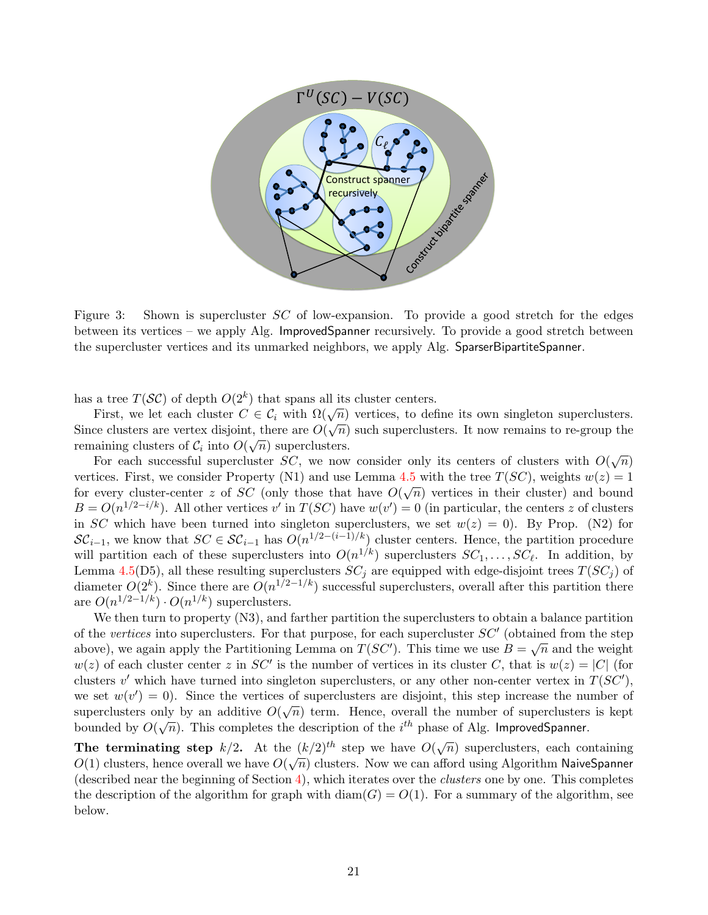

<span id="page-20-0"></span>Figure 3: Shown is supercluster SC of low-expansion. To provide a good stretch for the edges between its vertices – we apply Alg. ImprovedSpanner recursively. To provide a good stretch between the supercluster vertices and its unmarked neighbors, we apply Alg. SparserBipartiteSpanner.

has a tree  $T(S\mathcal{C})$  of depth  $O(2^k)$  that spans all its cluster centers.

a tree  $T(\mathcal{S}\mathcal{C})$  of depth  $\mathcal{O}(2^r)$  that spans an its cluster centers.<br>First, we let each cluster  $C \in \mathcal{C}_i$  with  $\Omega(\sqrt{n})$  vertices, to define its own singleton superclusters. First, we let each cluster  $C \in C_i$  with  $\Omega(\sqrt{n})$  vertices, to define its own singleton superclusters.<br>Since clusters are vertex disjoint, there are  $O(\sqrt{n})$  such superclusters. It now remains to re-group the remaining clusters of  $\mathcal{C}_i$  into  $O(\sqrt{n})$  superclusters.

For each successful supercluster SC, we now consider only its centers of clusters with  $O(\sqrt{n})$ vertices. First, we consider Property (N1) and use Lemma [4.5](#page-17-1) with the tree  $T(SC)$ , weights  $w(z) = 1$ for every cluster-center z of SC (only those that have  $O(\sqrt{n})$  vertices in their cluster) and bound  $B = O(n^{1/2 - i/k})$ . All other vertices v' in  $T(SC)$  have  $w(v') = 0$  (in particular, the centers z of clusters in SC which have been turned into singleton superclusters, we set  $w(z) = 0$ . By Prop. (N2) for  $\mathcal{SC}_{i-1}$ , we know that  $SC \in \mathcal{SC}_{i-1}$  has  $O(n^{1/2-(i-1)/k})$  cluster centers. Hence, the partition procedure will partition each of these superclusters into  $O(n^{1/k})$  superclusters  $SC_1, \ldots, SC_{\ell}$ . In addition, by Lemma [4.5\(](#page-17-1)D5), all these resulting superclusters  $SC_j$  are equipped with edge-disjoint trees  $T(SC_j)$  of diameter  $O(2^k)$ . Since there are  $O(n^{1/2-1/k})$  successful superclusters, overall after this partition there are  $O(n^{1/2-1/k}) \cdot O(n^{1/k})$  superclusters.

We then turn to property  $(N3)$ , and farther partition the superclusters to obtain a balance partition of the vertices into superclusters. For that purpose, for each supercluster  $SC'$  (obtained from the step above), we again apply the Partitioning Lemma on  $T(SC')$ . This time we use  $B = \sqrt{n}$  and the weight  $w(z)$  of each cluster center z in SC' is the number of vertices in its cluster C, that is  $w(z) = |C|$  (for clusters  $v'$  which have turned into singleton superclusters, or any other non-center vertex in  $T(SC')$ , we set  $w(v') = 0$ ). Since the vertices of superclusters are disjoint, this step increase the number of superclusters only by an additive  $O(\sqrt{n})$  term. Hence, overall the number of superclusters is kept supercrussers only by an additive  $O(\sqrt{n})$  term. Hence, overall the number of supercrussers bounded by  $O(\sqrt{n})$ . This completes the description of the *i*<sup>th</sup> phase of Alg. ImprovedSpanner.

The terminating step  $k/2$ . At the  $(k/2)^{th}$  step we have  $O(\sqrt{n})$  superclusters, each containing The terminating step  $\frac{k}{2}$ . At the  $\frac{k}{2}$  step we have  $O(\sqrt{n})$  superclusters, each containing  $O(1)$  clusters, hence overall we have  $O(\sqrt{n})$  clusters. Now we can afford using Algorithm NaiveSpanner (described near the beginning of Section [4\)](#page-8-0), which iterates over the *clusters* one by one. This completes the description of the algorithm for graph with  $\text{diam}(G) = O(1)$ . For a summary of the algorithm, see below.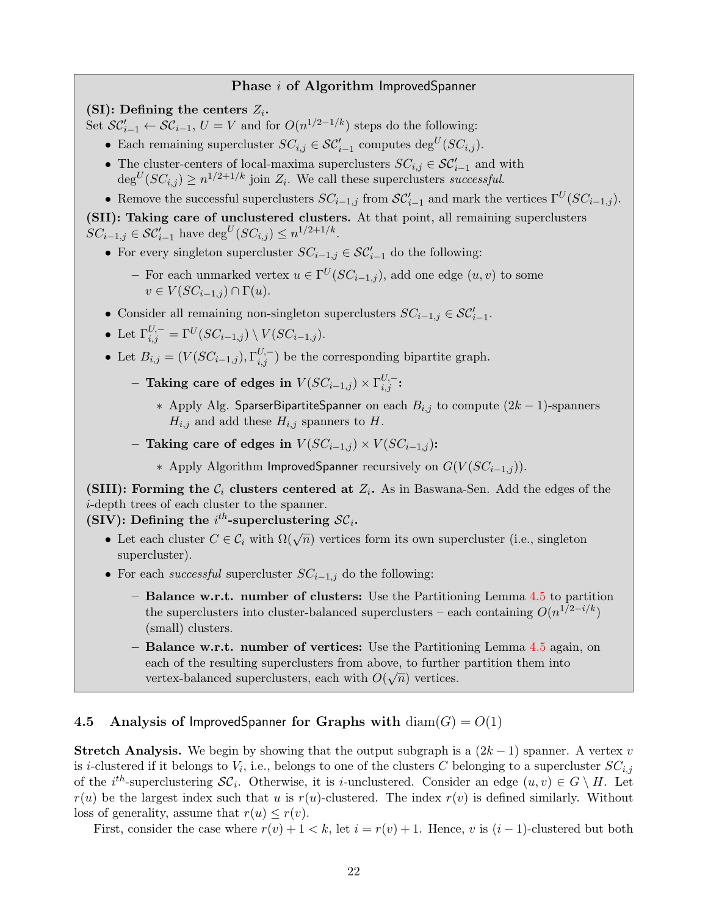#### Phase *i* of Algorithm ImprovedSpanner

(SI): Defining the centers  $Z_i$ .

Set  $\mathcal{SC}_{i-1}' \leftarrow \mathcal{SC}_{i-1}, U = V$  and for  $O(n^{1/2-1/k})$  steps do the following:

- Each remaining supercluster  $SC_{i,j} \in \mathcal{SC}'_{i-1}$  computes  $\text{deg}^U(SC_{i,j})$ .
- The cluster-centers of local-maxima superclusters  $SC_{i,j} \in \mathcal{SC}'_{i-1}$  and with  $\deg^{U}(SC_{i,j}) \geq n^{1/2+1/k}$  join  $Z_i$ . We call these superclusters successful.
- Remove the successful superclusters  $SC_{i-1,j}$  from  $SC'_{i-1}$  and mark the vertices  $\Gamma^U(SC_{i-1,j})$ .

(SII): Taking care of unclustered clusters. At that point, all remaining superclusters  $SC_{i-1,j} \in \mathcal{SC}'_{i-1}$  have  $\deg^U(SC_{i,j}) \leq n^{1/2+1/k}$ .

- For every singleton supercluster  $SC_{i-1,j} \in \mathcal{SC}'_{i-1}$  do the following:
	- For each unmarked vertex  $u \in \Gamma^U(SC_{i-1,j})$ , add one edge  $(u, v)$  to some  $v \in V(SC_{i-1,j}) \cap \Gamma(u).$
- Consider all remaining non-singleton superclusters  $SC_{i-1,j} \in \mathcal{SC}'_{i-1}$ .
- Let  $\Gamma_{i,j}^{U,-} = \Gamma^U (SC_{i-1,j}) \setminus V (SC_{i-1,j}).$
- Let  $B_{i,j} = (V(SC_{i-1,j}), \Gamma_{i,j}^{U,-})$  be the corresponding bipartite graph.
	- $-$  Taking care of edges in  $V(SC_{i-1,j})\times \Gamma^{U,-}_{i,j}$ :
		- ∗ Apply Alg. SparserBipartiteSpanner on each  $B_{i,j}$  to compute  $(2k-1)$ -spanners  $H_{i,j}$  and add these  $H_{i,j}$  spanners to H.
	- Taking care of edges in  $V(SC_{i-1,j}) \times V(SC_{i-1,j})$ :
		- ∗ Apply Algorithm ImprovedSpanner recursively on  $G(V(SC_{i-1,j}))$ .

(SIII): Forming the  $\mathcal{C}_i$  clusters centered at  $Z_i$ . As in Baswana-Sen. Add the edges of the i-depth trees of each cluster to the spanner.

(SIV): Defining the  $i^{th}$ -superclustering  $\mathcal{SC}_i$ .

- Let each cluster  $C \in \mathcal{C}_i$  with  $\Omega(\sqrt{n})$  vertices form its own supercluster (i.e., singleton supercluster).
- For each *successful* supercluster  $SC_{i-1,j}$  do the following:
	- Balance w.r.t. number of clusters: Use the Partitioning Lemma [4.5](#page-17-1) to partition the superclusters into cluster-balanced superclusters – each containing  $O(n^{1/2-i/k})$ (small) clusters.
	- Balance w.r.t. number of vertices: Use the Partitioning Lemma  $4.5$  again, on each of the resulting superclusters from above, to further partition them into vertex-balanced superclusters, each with  $O(\sqrt{n})$  vertices.

#### <span id="page-21-0"></span>4.5 Analysis of ImprovedSpanner for Graphs with  $\text{diam}(G) = O(1)$

**Stretch Analysis.** We begin by showing that the output subgraph is a  $(2k-1)$  spanner. A vertex v is *i*-clustered if it belongs to  $V_i$ , i.e., belongs to one of the clusters C belonging to a supercluster  $SC_{i,j}$ of the i<sup>th</sup>-superclustering  $\mathcal{SC}_i$ . Otherwise, it is i-unclustered. Consider an edge  $(u, v) \in G \setminus H$ . Let  $r(u)$  be the largest index such that u is  $r(u)$ -clustered. The index  $r(v)$  is defined similarly. Without loss of generality, assume that  $r(u) \leq r(v)$ .

First, consider the case where  $r(v) + 1 < k$ , let  $i = r(v) + 1$ . Hence, v is  $(i - 1)$ -clustered but both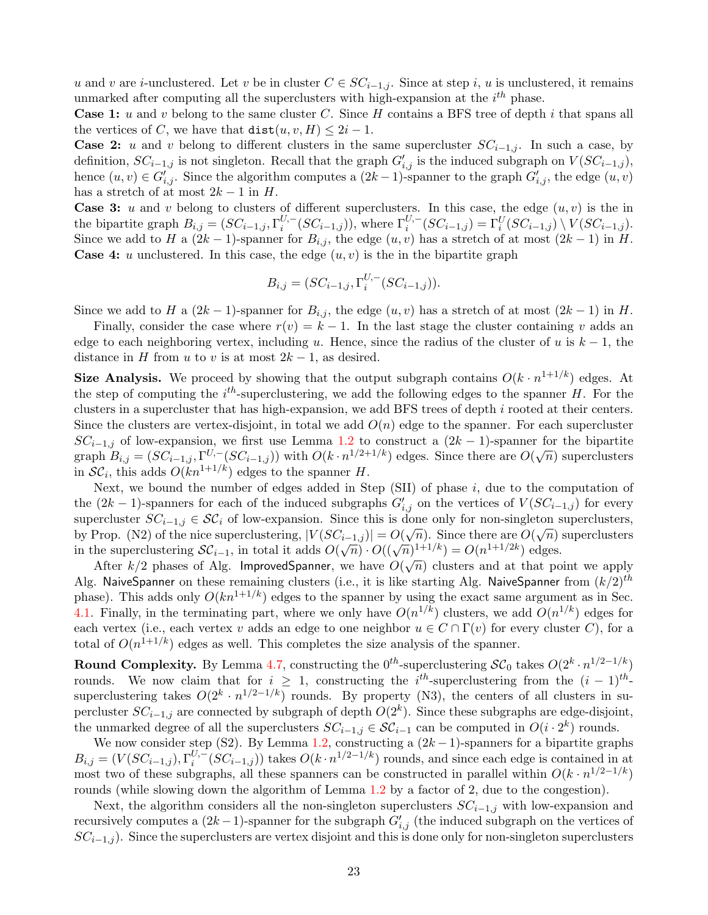u and v are i-unclustered. Let v be in cluster  $C \in SC_{i-1,i}$ . Since at step i, u is unclustered, it remains unmarked after computing all the superclusters with high-expansion at the  $i^{th}$  phase.

**Case 1:** u and v belong to the same cluster C. Since  $H$  contains a BFS tree of depth i that spans all the vertices of C, we have that  $dist(u, v, H) \leq 2i - 1$ .

**Case 2:** u and v belong to different clusters in the same supercluster  $SC_{i-1,j}$ . In such a case, by definition,  $SC_{i-1,j}$  is not singleton. Recall that the graph  $G'_{i,j}$  is the induced subgraph on  $V(SC_{i-1,j}),$ hence  $(u, v) \in G'_{i,j}$ . Since the algorithm computes a  $(2k-1)$ -spanner to the graph  $G'_{i,j}$ , the edge  $(u, v)$ has a stretch of at most  $2k - 1$  in H.

**Case 3:** u and v belong to clusters of different superclusters. In this case, the edge  $(u, v)$  is the in the bipartite graph  $B_{i,j} = (SC_{i-1,j}, \Gamma_i^{U,-})$  $i_i^{U,-}(SC_{i-1,j}))$ , where  $\Gamma_i^{U,-}(SC_{i-1,j}) = \Gamma_i^U(SC_{i-1,j}) \setminus V(SC_{i-1,j}).$ Since we add to H a  $(2k-1)$ -spanner for  $B_{i,j}$ , the edge  $(u, v)$  has a stretch of at most  $(2k-1)$  in H. **Case 4:** u unclustered. In this case, the edge  $(u, v)$  is the in the bipartite graph

$$
B_{i,j} = (SC_{i-1,j}, \Gamma_i^{U,-} (SC_{i-1,j})).
$$

Since we add to H a  $(2k-1)$ -spanner for  $B_{i,j}$ , the edge  $(u, v)$  has a stretch of at most  $(2k-1)$  in H.

Finally, consider the case where  $r(v) = k - 1$ . In the last stage the cluster containing v adds an edge to each neighboring vertex, including u. Hence, since the radius of the cluster of u is  $k-1$ , the distance in H from u to v is at most  $2k - 1$ , as desired.

**Size Analysis.** We proceed by showing that the output subgraph contains  $O(k \cdot n^{1+1/k})$  edges. At the step of computing the  $i<sup>th</sup>$ -superclustering, we add the following edges to the spanner H. For the clusters in a supercluster that has high-expansion, we add BFS trees of depth i rooted at their centers. Since the clusters are vertex-disjoint, in total we add  $O(n)$  edge to the spanner. For each supercluster  $SC_{i-1,j}$  of low-expansion, we first use Lemma [1.2](#page-2-5) to construct a  $(2k-1)$ -spanner for the bipartite  $SC_{i-1,j}$  or low-expansion, we first use Lemma 1.2 to construct a  $(2\kappa - 1)$ -spanner for the original strength  $B_{i,j} = (SC_{i-1,j}, \Gamma^{U,-} (SC_{i-1,j}))$  with  $O(k \cdot n^{1/2+1/k})$  edges. Since there are  $O(\sqrt{n})$  superclusters in  $\mathcal{SC}_i$ , this adds  $O(kn^{1+1/k})$  edges to the spanner H.

Next, we bound the number of edges added in Step  $(SII)$  of phase i, due to the computation of the  $(2k-1)$ -spanners for each of the induced subgraphs  $G'_{i,j}$  on the vertices of  $V(SC_{i-1,j})$  for every supercluster  $SC_{i-1,j} \in \mathcal{SC}_i$  of low-expansion. Since this is done only for non-singleton superclusters, by Prop. (N2) of the nice superclustering,  $|V(SC_{i-1,j})| = O(\sqrt{n})$ . Since there are  $O(\sqrt{n})$  superclusters in the superclustering  $SC_{i-1}$ , in total it adds  $O(\sqrt{n}) \cdot O((\sqrt{n})^{1+1/k}) = O(n^{1+1/2k})$  edges.

After  $k/2$  phases of Alg. Improved Spanner, we have  $O(\sqrt{n})$  clusters and at that point we apply Alg. NaiveSpanner on these remaining clusters (i.e., it is like starting Alg. NaiveSpanner from  $(k/2)^{th}$ phase). This adds only  $O(kn^{1+1/k})$  edges to the spanner by using the exact same argument as in Sec. [4.1.](#page-8-1) Finally, in the terminating part, where we only have  $O(n^{1/k})$  clusters, we add  $O(n^{1/k})$  edges for each vertex (i.e., each vertex v adds an edge to one neighbor  $u \in C \cap \Gamma(v)$  for every cluster C), for a total of  $O(n^{1+1/k})$  edges as well. This completes the size analysis of the spanner.

**Round Complexity.** By Lemma [4.7,](#page-23-12) constructing the  $0^{th}$ -superclustering  $\mathcal{SC}_0$  takes  $O(2^k \cdot n^{1/2-1/k})$ rounds. We now claim that for  $i \geq 1$ , constructing the i<sup>th</sup>-superclustering from the  $(i-1)^{th}$ superclustering takes  $O(2^k \cdot n^{1/2-1/k})$  rounds. By property (N3), the centers of all clusters in supercluster  $SC_{i-1,j}$  are connected by subgraph of depth  $O(2<sup>k</sup>)$ . Since these subgraphs are edge-disjoint, the unmarked degree of all the superclusters  $SC_{i-1,j} \in \mathcal{SC}_{i-1}$  can be computed in  $O(i \cdot 2^k)$  rounds.

We now consider step (S2). By Lemma [1.2,](#page-2-5) constructing a  $(2k-1)$ -spanners for a bipartite graphs  $B_{i,j} = (V(SC_{i-1,j}), \Gamma_i^{U,-1})$  $\binom{U - (SC_{i-1,j})}{i}$  takes  $O(k \cdot n^{1/2 - 1/k})$  rounds, and since each edge is contained in at most two of these subgraphs, all these spanners can be constructed in parallel within  $O(k \cdot n^{1/2-1/k})$ rounds (while slowing down the algorithm of Lemma [1.2](#page-2-5) by a factor of 2, due to the congestion).

Next, the algorithm considers all the non-singleton superclusters  $SC_{i-1,j}$  with low-expansion and recursively computes a  $(2k-1)$ -spanner for the subgraph  $G'_{i,j}$  (the induced subgraph on the vertices of  $SC_{i-1,j}$ ). Since the superclusters are vertex disjoint and this is done only for non-singleton superclusters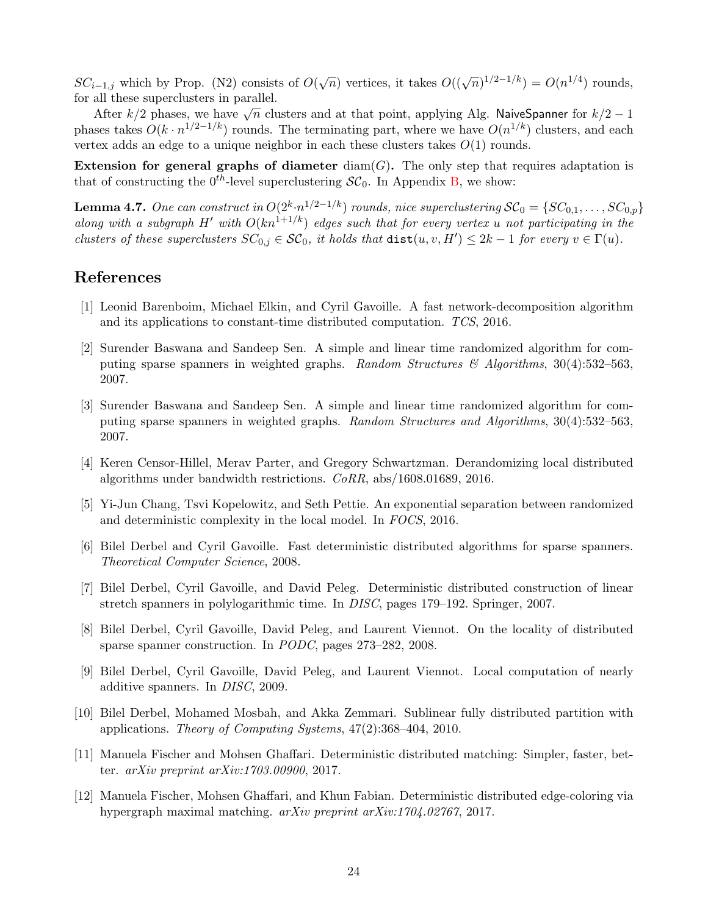$SC_{i-1,j}$  which by Prop. (N2) consists of  $O(\sqrt{n})$  vertices, it takes  $O((\sqrt{n})^{1/2-1/k}) = O(n^{1/4})$  rounds, for all these superclusters in parallel.

After  $k/2$  phases, we have  $\sqrt{n}$  clusters and at that point, applying Alg. NaiveSpanner for  $k/2 - 1$ phases takes  $O(k \cdot n^{1/2-1/k})$  rounds. The terminating part, where we have  $O(n^{1/k})$  clusters, and each vertex adds an edge to a unique neighbor in each these clusters takes  $O(1)$  rounds.

Extension for general graphs of diameter  $\text{diam}(G)$ . The only step that requires adaptation is that of constructing the  $0^{th}$ -level superclustering  $\mathcal{SC}_0$ . In Appendix [B,](#page-26-0) we show:

<span id="page-23-12"></span>**Lemma 4.7.** One can construct in  $O(2^k \cdot n^{1/2-1/k})$  rounds, nice superclustering  $\mathcal{SC}_0 = \{SC_{0,1}, \ldots, SC_{0,p}\}$ along with a subgraph H' with  $O(kn^{1+1/k})$  edges such that for every vertex u not participating in the clusters of these superclusters  $SC_{0,j} \in \mathcal{SC}_0$ , it holds that  $dist(u, v, H') \leq 2k - 1$  for every  $v \in \Gamma(u)$ .

### References

- <span id="page-23-6"></span>[1] Leonid Barenboim, Michael Elkin, and Cyril Gavoille. A fast network-decomposition algorithm and its applications to constant-time distributed computation. TCS, 2016.
- <span id="page-23-1"></span>[2] Surender Baswana and Sandeep Sen. A simple and linear time randomized algorithm for computing sparse spanners in weighted graphs. Random Structures  $\mathscr{C}$  Algorithms, 30(4):532–563, 2007.
- <span id="page-23-11"></span>[3] Surender Baswana and Sandeep Sen. A simple and linear time randomized algorithm for computing sparse spanners in weighted graphs. Random Structures and Algorithms, 30(4):532–563, 2007.
- <span id="page-23-7"></span>[4] Keren Censor-Hillel, Merav Parter, and Gregory Schwartzman. Derandomizing local distributed algorithms under bandwidth restrictions. CoRR, abs/1608.01689, 2016.
- <span id="page-23-10"></span>[5] Yi-Jun Chang, Tsvi Kopelowitz, and Seth Pettie. An exponential separation between randomized and deterministic complexity in the local model. In FOCS, 2016.
- <span id="page-23-2"></span>[6] Bilel Derbel and Cyril Gavoille. Fast deterministic distributed algorithms for sparse spanners. Theoretical Computer Science, 2008.
- <span id="page-23-3"></span>[7] Bilel Derbel, Cyril Gavoille, and David Peleg. Deterministic distributed construction of linear stretch spanners in polylogarithmic time. In DISC, pages 179–192. Springer, 2007.
- <span id="page-23-4"></span>[8] Bilel Derbel, Cyril Gavoille, David Peleg, and Laurent Viennot. On the locality of distributed sparse spanner construction. In PODC, pages 273–282, 2008.
- <span id="page-23-5"></span>[9] Bilel Derbel, Cyril Gavoille, David Peleg, and Laurent Viennot. Local computation of nearly additive spanners. In DISC, 2009.
- <span id="page-23-0"></span>[10] Bilel Derbel, Mohamed Mosbah, and Akka Zemmari. Sublinear fully distributed partition with applications. Theory of Computing Systems, 47(2):368–404, 2010.
- <span id="page-23-8"></span>[11] Manuela Fischer and Mohsen Ghaffari. Deterministic distributed matching: Simpler, faster, better. arXiv preprint arXiv:1703.00900, 2017.
- <span id="page-23-9"></span>[12] Manuela Fischer, Mohsen Ghaffari, and Khun Fabian. Deterministic distributed edge-coloring via hypergraph maximal matching. arXiv preprint arXiv:1704.02767, 2017.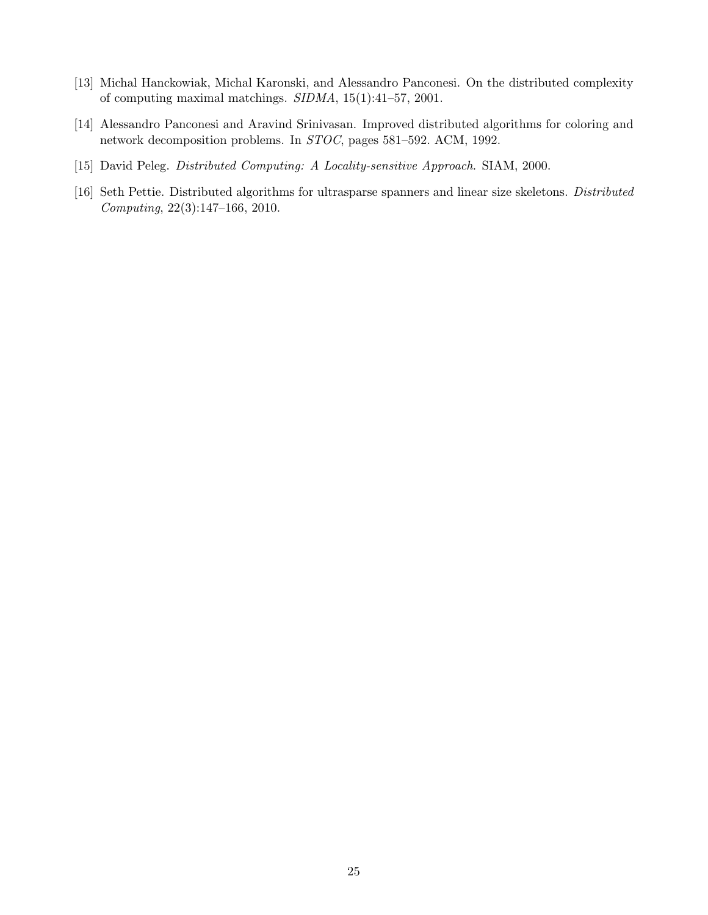- <span id="page-24-1"></span>[13] Michal Hanckowiak, Michal Karonski, and Alessandro Panconesi. On the distributed complexity of computing maximal matchings. SIDMA, 15(1):41–57, 2001.
- <span id="page-24-3"></span>[14] Alessandro Panconesi and Aravind Srinivasan. Improved distributed algorithms for coloring and network decomposition problems. In STOC, pages 581–592. ACM, 1992.
- <span id="page-24-2"></span>[15] David Peleg. Distributed Computing: A Locality-sensitive Approach. SIAM, 2000.
- <span id="page-24-0"></span>[16] Seth Pettie. Distributed algorithms for ultrasparse spanners and linear size skeletons. Distributed Computing, 22(3):147–166, 2010.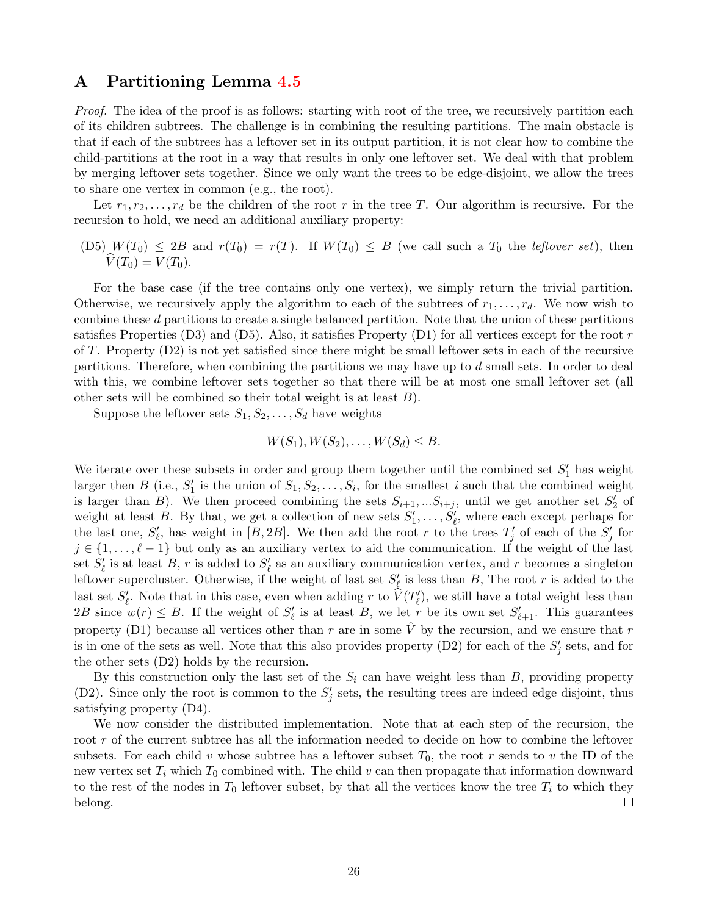### <span id="page-25-0"></span>A Partitioning Lemma [4.5](#page-17-1)

Proof. The idea of the proof is as follows: starting with root of the tree, we recursively partition each of its children subtrees. The challenge is in combining the resulting partitions. The main obstacle is that if each of the subtrees has a leftover set in its output partition, it is not clear how to combine the child-partitions at the root in a way that results in only one leftover set. We deal with that problem by merging leftover sets together. Since we only want the trees to be edge-disjoint, we allow the trees to share one vertex in common (e.g., the root).

Let  $r_1, r_2, \ldots, r_d$  be the children of the root r in the tree T. Our algorithm is recursive. For the recursion to hold, we need an additional auxiliary property:

(D5)  $W(T_0) \leq 2B$  and  $r(T_0) = r(T)$ . If  $W(T_0) \leq B$  (we call such a  $T_0$  the *leftover set*), then  $\widehat{V}(T_0) = V(T_0).$ 

For the base case (if the tree contains only one vertex), we simply return the trivial partition. Otherwise, we recursively apply the algorithm to each of the subtrees of  $r_1, \ldots, r_d$ . We now wish to combine these d partitions to create a single balanced partition. Note that the union of these partitions satisfies Properties (D3) and (D5). Also, it satisfies Property (D1) for all vertices except for the root  $r$ of T. Property  $(D2)$  is not yet satisfied since there might be small leftover sets in each of the recursive partitions. Therefore, when combining the partitions we may have up to d small sets. In order to deal with this, we combine leftover sets together so that there will be at most one small leftover set (all other sets will be combined so their total weight is at least B).

Suppose the leftover sets  $S_1, S_2, \ldots, S_d$  have weights

$$
W(S_1), W(S_2), \ldots, W(S_d) \leq B.
$$

We iterate over these subsets in order and group them together until the combined set  $S'_1$  has weight larger then B (i.e.,  $S'_1$  is the union of  $S_1, S_2, \ldots, S_i$ , for the smallest i such that the combined weight is larger than B). We then proceed combining the sets  $S_{i+1},...S_{i+j}$ , until we get another set  $S'_{2}$  of weight at least B. By that, we get a collection of new sets  $S'_1, \ldots, S'_\ell$ , where each except perhaps for the last one,  $S'_{\ell}$ , has weight in  $[B, 2B]$ . We then add the root r to the trees  $T'_{j}$  of each of the  $S'_{j}$  for  $j \in \{1, \ldots, \ell-1\}$  but only as an auxiliary vertex to aid the communication. If the weight of the last set  $S'_\ell$  is at least B, r is added to  $S'_\ell$  as an auxiliary communication vertex, and r becomes a singleton leftover supercluster. Otherwise, if the weight of last set  $S'_\ell$  is less than B, The root r is added to the last set  $S'_\ell$ . Note that in this case, even when adding r to  $\hat{V}(T'_\ell)$ , we still have a total weight less than 2B since  $w(r) \leq B$ . If the weight of  $S'_\ell$  is at least B, we let r be its own set  $S'_{\ell+1}$ . This guarantees property (D1) because all vertices other than r are in some  $\hat{V}$  by the recursion, and we ensure that r is in one of the sets as well. Note that this also provides property (D2) for each of the  $S'_{j}$  sets, and for the other sets (D2) holds by the recursion.

By this construction only the last set of the  $S_i$  can have weight less than  $B$ , providing property (D2). Since only the root is common to the  $S'_{j}$  sets, the resulting trees are indeed edge disjoint, thus satisfying property (D4).

We now consider the distributed implementation. Note that at each step of the recursion, the root r of the current subtree has all the information needed to decide on how to combine the leftover subsets. For each child v whose subtree has a leftover subset  $T_0$ , the root r sends to v the ID of the new vertex set  $T_i$  which  $T_0$  combined with. The child v can then propagate that information downward to the rest of the nodes in  $T_0$  leftover subset, by that all the vertices know the tree  $T_i$  to which they belong.  $\Box$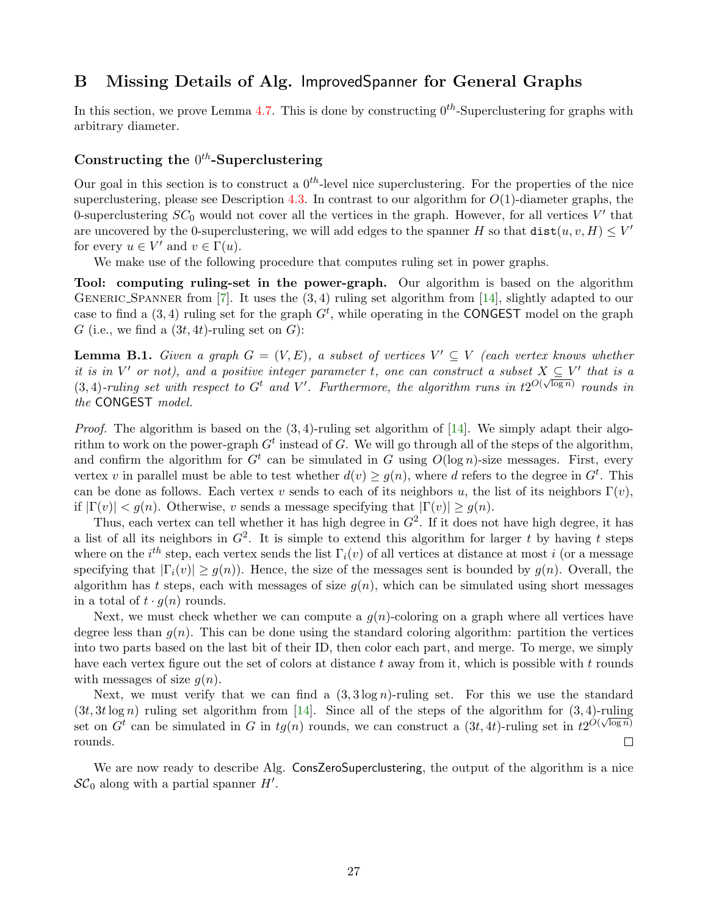### <span id="page-26-0"></span>B Missing Details of Alg. ImprovedSpanner for General Graphs

In this section, we prove Lemma [4.7.](#page-23-12) This is done by constructing  $0^{th}$ -Superclustering for graphs with arbitrary diameter.

### Constructing the  $0^{th}$ -Superclustering

Our goal in this section is to construct a  $0^{th}$ -level nice superclustering. For the properties of the nice superclustering, please see Description [4.3.](#page-16-0) In contrast to our algorithm for  $O(1)$ -diameter graphs, the 0-superclustering  $SC_0$  would not cover all the vertices in the graph. However, for all vertices  $V'$  that are uncovered by the 0-superclustering, we will add edges to the spanner H so that  $dist(u, v, H) \leq V'$ for every  $u \in V'$  and  $v \in \Gamma(u)$ .

We make use of the following procedure that computes ruling set in power graphs.

Tool: computing ruling-set in the power-graph. Our algorithm is based on the algorithm GENERIC SPANNER from  $[7]$ . It uses the  $(3, 4)$  ruling set algorithm from  $[14]$ , slightly adapted to our case to find a  $(3, 4)$  ruling set for the graph  $G<sup>t</sup>$ , while operating in the CONGEST model on the graph G (i.e., we find a  $(3t, 4t)$ -ruling set on G):

<span id="page-26-1"></span>**Lemma B.1.** Given a graph  $G = (V, E)$ , a subset of vertices  $V' \subseteq V$  (each vertex knows whether it is in V' or not), and a positive integer parameter t, one can construct a subset  $X \subseteq V'$  that is a  $(3, 4)$ -ruling set with respect to G<sup>t</sup> and V'. Furthermore, the algorithm runs in  $t2^{O(\sqrt{\log n})}$  rounds in the CONGEST model.

*Proof.* The algorithm is based on the  $(3, 4)$ -ruling set algorithm of [\[14\]](#page-24-3). We simply adapt their algorithm to work on the power-graph  $G^t$  instead of G. We will go through all of the steps of the algorithm, and confirm the algorithm for  $G<sup>t</sup>$  can be simulated in G using  $O(\log n)$ -size messages. First, every vertex v in parallel must be able to test whether  $d(v) \ge g(n)$ , where d refers to the degree in  $G<sup>t</sup>$ . This can be done as follows. Each vertex v sends to each of its neighbors u, the list of its neighbors  $\Gamma(v)$ , if  $|\Gamma(v)| < g(n)$ . Otherwise, v sends a message specifying that  $|\Gamma(v)| \geq g(n)$ .

Thus, each vertex can tell whether it has high degree in  $G^2$ . If it does not have high degree, it has a list of all its neighbors in  $G^2$ . It is simple to extend this algorithm for larger t by having t steps where on the  $i^{th}$  step, each vertex sends the list  $\Gamma_i(v)$  of all vertices at distance at most i (or a message specifying that  $|\Gamma_i(v)| \geq q(n)$ . Hence, the size of the messages sent is bounded by  $q(n)$ . Overall, the algorithm has t steps, each with messages of size  $g(n)$ , which can be simulated using short messages in a total of  $t \cdot g(n)$  rounds.

Next, we must check whether we can compute a  $g(n)$ -coloring on a graph where all vertices have degree less than  $g(n)$ . This can be done using the standard coloring algorithm: partition the vertices into two parts based on the last bit of their ID, then color each part, and merge. To merge, we simply have each vertex figure out the set of colors at distance t away from it, which is possible with t rounds with messages of size  $q(n)$ .

Next, we must verify that we can find a  $(3, 3 \log n)$ -ruling set. For this we use the standard  $(3t, 3t \log n)$  ruling set algorithm from [\[14\]](#page-24-3). Since all of the steps of the algorithm for  $(3, 4)$ -ruling set on  $G^t$  can be simulated in G in  $tg(n)$  rounds, we can construct a  $(3t, 4t)$ -ruling set in  $t2^{O(\sqrt{\log n})}$ rounds.  $\Box$ 

We are now ready to describe Alg. ConsZeroSuperclustering, the output of the algorithm is a nice  $\mathcal{SC}_0$  along with a partial spanner  $H'$ .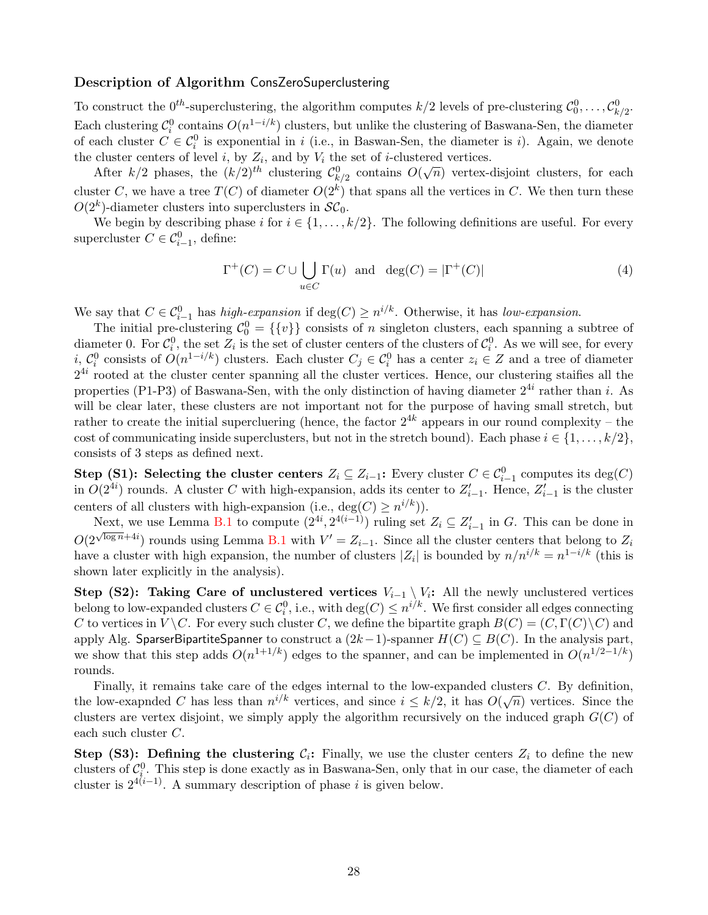#### Description of Algorithm ConsZeroSuperclustering

To construct the  $0^{th}$ -superclustering, the algorithm computes  $k/2$  levels of pre-clustering  $\mathcal{C}_0^0, \ldots, \mathcal{C}_{k/2}^0$ . Each clustering  $\mathcal{C}_i^0$  contains  $O(n^{1-i/k})$  clusters, but unlike the clustering of Baswana-Sen, the diameter of each cluster  $C \in \mathcal{C}_i^0$  is exponential in i (i.e., in Baswan-Sen, the diameter is i). Again, we denote the cluster centers of level *i*, by  $Z_i$ , and by  $V_i$  the set of *i*-clustered vertices.

After  $k/2$  phases, the  $(k/2)^{th}$  clustering  $\mathcal{C}_{k/2}^0$  contains  $O(\sqrt{n})$  vertex-disjoint clusters, for each cluster C, we have a tree  $T(C)$  of diameter  $O(2<sup>k</sup>)$  that spans all the vertices in C. We then turn these  $O(2<sup>k</sup>)$ -diameter clusters into superclusters in  $\mathcal{SC}_0$ .

We begin by describing phase i for  $i \in \{1, \ldots, k/2\}$ . The following definitions are useful. For every supercluster  $C \in \mathcal{C}_{i-1}^0$ , define:

$$
\Gamma^{+}(C) = C \cup \bigcup_{u \in C} \Gamma(u) \quad \text{and} \quad \deg(C) = |\Gamma^{+}(C)| \tag{4}
$$

We say that  $C \in \mathcal{C}_{i-1}^0$  has high-expansion if  $\deg(C) \geq n^{i/k}$ . Otherwise, it has low-expansion.

The initial pre-clustering  $\mathcal{C}_0^0 = \{\{v\}\}\)$  consists of n singleton clusters, each spanning a subtree of diameter 0. For  $\mathcal{C}_i^0$ , the set  $Z_i$  is the set of cluster centers of the clusters of  $\mathcal{C}_i^0$ . As we will see, for every i,  $\mathcal{C}_i^0$  consists of  $O(n^{1-i/k})$  clusters. Each cluster  $C_j \in \mathcal{C}_i^0$  has a center  $z_i \in Z$  and a tree of diameter  $2^{4i}$  rooted at the cluster center spanning all the cluster vertices. Hence, our clustering staifies all the properties (P1-P3) of Baswana-Sen, with the only distinction of having diameter  $2^{4i}$  rather than i. As will be clear later, these clusters are not important not for the purpose of having small stretch, but rather to create the initial supercluering (hence, the factor  $2^{4k}$  appears in our round complexity – the cost of communicating inside superclusters, but not in the stretch bound). Each phase  $i \in \{1, \ldots, k/2\}$ , consists of 3 steps as defined next.

Step (S1): Selecting the cluster centers  $Z_i \subseteq Z_{i-1}$ : Every cluster  $C \in \mathcal{C}_{i-1}^0$  computes its deg(C) in  $O(2^{4i})$  rounds. A cluster C with high-expansion, adds its center to  $Z'_{i-1}$ . Hence,  $Z'_{i-1}$  is the cluster centers of all clusters with high-expansion (i.e.,  $deg(C) \geq n^{i/k})$ ).

Next, we use Lemma [B.1](#page-26-1) to compute  $(2^{4i}, 2^{4(i-1)})$  ruling set  $Z_i \subseteq Z'_{i-1}$  in G. This can be done in  $O(2^{\sqrt{\log n}+4i})$  rounds using Lemma [B.1](#page-26-1) with  $V'=Z_{i-1}$ . Since all the cluster centers that belong to  $Z_i$ have a cluster with high expansion, the number of clusters  $|Z_i|$  is bounded by  $n/n^{i/k} = n^{1-i/k}$  (this is shown later explicitly in the analysis).

Step (S2): Taking Care of unclustered vertices  $V_{i-1} \setminus V_i$ : All the newly unclustered vertices belong to low-expanded clusters  $C \in \mathcal{C}_i^0$ , i.e., with  $\deg(C) \leq n^{i/k}$ . We first consider all edges connecting C to vertices in  $V \backslash C$ . For every such cluster C, we define the bipartite graph  $B(C) = (C, \Gamma(C) \backslash C)$  and apply Alg. SparserBipartiteSpanner to construct a  $(2k-1)$ -spanner  $H(C) \subseteq B(C)$ . In the analysis part, we show that this step adds  $O(n^{1+1/k})$  edges to the spanner, and can be implemented in  $O(n^{1/2-1/k})$ rounds.

Finally, it remains take care of the edges internal to the low-expanded clusters  $C$ . By definition, This can be the edges internal to the low-expanded clusters C. By definition,<br>the low-exapnded C has less than  $n^{i/k}$  vertices, and since  $i \leq k/2$ , it has  $O(\sqrt{n})$  vertices. Since the clusters are vertex disjoint, we simply apply the algorithm recursively on the induced graph  $G(C)$  of each such cluster C.

Step (S3): Defining the clustering  $C_i$ : Finally, we use the cluster centers  $Z_i$  to define the new clusters of  $\mathcal{C}_i^0$ . This step is done exactly as in Baswana-Sen, only that in our case, the diameter of each clusters of  $c_i$ . This step is done exactly as in Baswana-Ben, only the cluster is  $2^{4(i-1)}$ . A summary description of phase i is given below.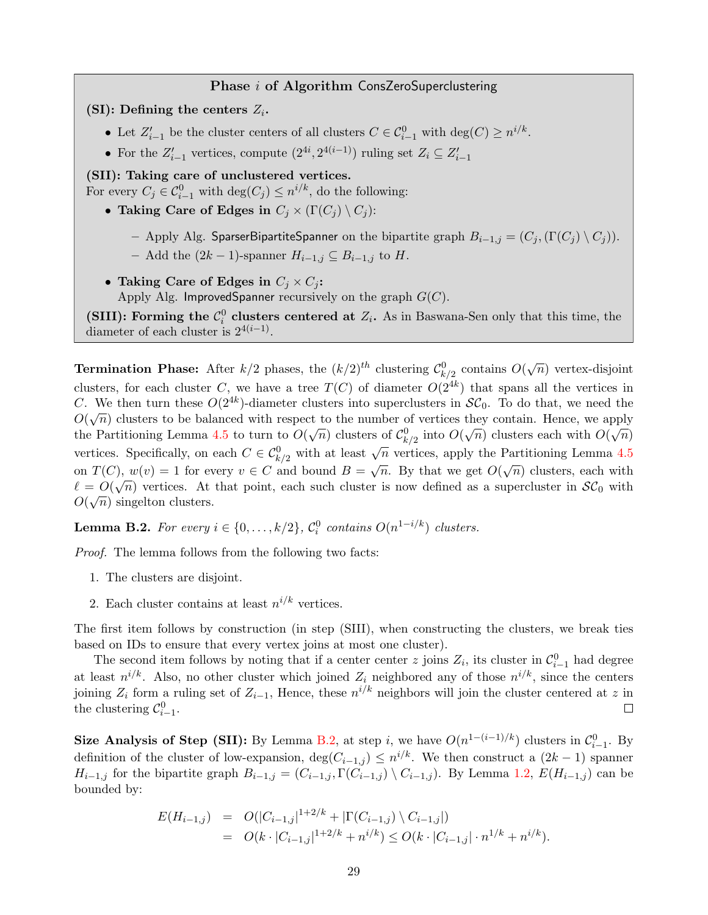#### Phase *i* of Algorithm ConsZeroSuperclustering

(SI): Defining the centers  $Z_i$ .

- Let  $Z'_{i-1}$  be the cluster centers of all clusters  $C \in \mathcal{C}_{i-1}^0$  with  $\deg(C) \geq n^{i/k}$ .
- For the  $Z'_{i-1}$  vertices, compute  $(2^{4i}, 2^{4(i-1)})$  ruling set  $Z_i \subseteq Z'_{i-1}$

### (SII): Taking care of unclustered vertices.

For every  $C_j \in \mathcal{C}_{i-1}^0$  with  $\deg(C_j) \leq n^{i/k}$ , do the following:

- Taking Care of Edges in  $C_j \times (\Gamma(C_j) \setminus C_j)$ :
	- Apply Alg. SparserBipartiteSpanner on the bipartite graph  $B_{i-1,j} = (C_j, (\Gamma(C_j) \setminus C_j)).$
	- Add the  $(2k-1)$ -spanner  $H_{i-1,j} \subseteq B_{i-1,j}$  to H.
- Taking Care of Edges in  $C_i \times C_j$ :

Apply Alg. ImprovedSpanner recursively on the graph  $G(C)$ .

(SIII): Forming the  $\mathcal{C}_i^0$  clusters centered at  $Z_i$ . As in Baswana-Sen only that this time, the diameter of each cluster is  $2^{4(i-1)}$ .

**Termination Phase:** After  $k/2$  phases, the  $(k/2)^{th}$  clustering  $\mathcal{C}_{k/2}^0$  contains  $O(\sqrt{n})$  vertex-disjoint clusters, for each cluster C, we have a tree  $T(C)$  of diameter  $O(2^{4k})$  that spans all the vertices in C. We then turn these  $O(2^{4k})$ -diameter clusters into superclusters in  $\mathcal{SC}_0$ . To do that, we need the  $O(\sqrt{n})$  clusters to be balanced with respect to the number of vertices they contain. Hence, we apply the Partitioning Lemma [4.5](#page-17-1) to turn to  $O(\sqrt{n})$  clusters of  $\mathcal{C}_{k/2}^0$  into  $O(\sqrt{n})$  clusters each with  $O(\sqrt{n})$ vertices. Specifically, on each  $C \in C_{k/2}^0$  with at least  $\sqrt{n}$  vertices, apply the Partitioning Lemma [4.5](#page-17-1) on  $T(C)$ ,  $w(v) = 1$  for every  $v \in C$  and bound  $B = \sqrt{n}$ . By that we get  $O(\sqrt{n})$  clusters, each with  $\ell = O(\sqrt{n})$  vertices. At that point, each such cluster is now defined as a supercluster in  $\mathcal{SC}_0$  with  $O(\sqrt{n})$  singelton clusters.

<span id="page-28-0"></span>**Lemma B.2.** For every  $i \in \{0, ..., k/2\}$ ,  $C_i^0$  contains  $O(n^{1-i/k})$  clusters.

Proof. The lemma follows from the following two facts:

- 1. The clusters are disjoint.
- 2. Each cluster contains at least  $n^{i/k}$  vertices.

The first item follows by construction (in step (SIII), when constructing the clusters, we break ties based on IDs to ensure that every vertex joins at most one cluster).

The second item follows by noting that if a center center z joins  $Z_i$ , its cluster in  $\mathcal{C}_{i-1}^0$  had degree at least  $n^{i/k}$ . Also, no other cluster which joined  $Z_i$  neighbored any of those  $n^{i/k}$ , since the centers joining  $Z_i$  form a ruling set of  $Z_{i-1}$ , Hence, these  $n^{i/k}$  neighbors will join the cluster centered at z in the clustering  $\mathcal{C}_{i-1}^0$ .  $\Box$ 

Size Analysis of Step (SII): By Lemma [B.2,](#page-28-0) at step *i*, we have  $O(n^{1-(i-1)/k})$  clusters in  $\mathcal{C}_{i-1}^0$ . By definition of the cluster of low-expansion,  $deg(C_{i-1,j}) \leq n^{i/k}$ . We then construct a  $(2k-1)$  spanner  $H_{i-1,j}$  for the bipartite graph  $B_{i-1,j} = (C_{i-1,j}, \Gamma(C_{i-1,j}) \setminus C_{i-1,j})$ . By Lemma [1.2,](#page-2-5)  $E(H_{i-1,j})$  can be bounded by:

$$
E(H_{i-1,j}) = O(|C_{i-1,j}|^{1+2/k} + |\Gamma(C_{i-1,j}) \setminus C_{i-1,j}|)
$$
  
= 
$$
O(k \cdot |C_{i-1,j}|^{1+2/k} + n^{i/k}) \leq O(k \cdot |C_{i-1,j}| \cdot n^{1/k} + n^{i/k}).
$$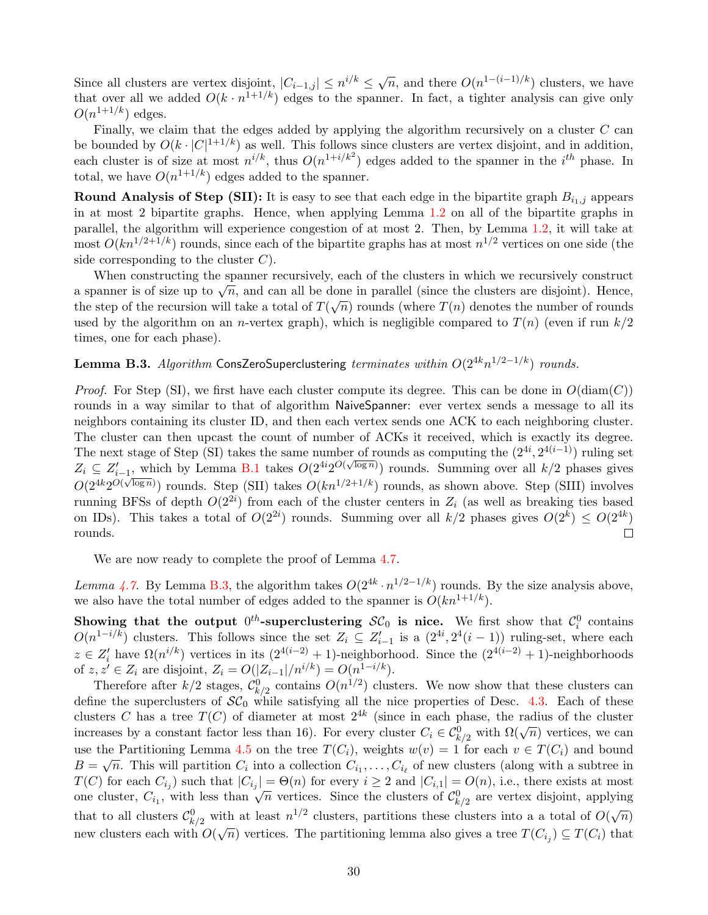Since all clusters are vertex disjoint,  $|C_{i-1,j}| \leq n^{i/k} \leq \sqrt{n}$ , and there  $O(n^{1-(i-1)/k})$  clusters, we have that over all we added  $O(k \cdot n^{1+1/k})$  edges to the spanner. In fact, a tighter analysis can give only  $O(n^{1+1/k})$  edges.

Finally, we claim that the edges added by applying the algorithm recursively on a cluster  $C$  can be bounded by  $O(k \cdot |C|^{1+1/k})$  as well. This follows since clusters are vertex disjoint, and in addition, each cluster is of size at most  $n^{i/k}$ , thus  $O(n^{1+i/k^2})$  edges added to the spanner in the  $i^{th}$  phase. In total, we have  $O(n^{1+1/k})$  edges added to the spanner.

**Round Analysis of Step (SII):** It is easy to see that each edge in the bipartite graph  $B_{i_1,j}$  appears in at most 2 bipartite graphs. Hence, when applying Lemma [1.2](#page-2-5) on all of the bipartite graphs in parallel, the algorithm will experience congestion of at most 2. Then, by Lemma [1.2,](#page-2-5) it will take at most  $O(kn^{1/2+1/k})$  rounds, since each of the bipartite graphs has at most  $n^{1/2}$  vertices on one side (the side corresponding to the cluster  $C$ ).

When constructing the spanner recursively, each of the clusters in which we recursively construct when constructing the spanner recursively, each of the clusters in which we recursively construct<br>a spanner is of size up to  $\sqrt{n}$ , and can all be done in parallel (since the clusters are disjoint). Hence, the step of the recursion will take a total of  $T(\sqrt{n})$  rounds (where  $T(n)$  denotes the number of rounds used by the algorithm on an *n*-vertex graph), which is negligible compared to  $T(n)$  (even if run  $k/2$ times, one for each phase).

### <span id="page-29-0"></span>**Lemma B.3.** Algorithm ConsZeroSuperclustering terminates within  $O(2^{4k}n^{1/2-1/k})$  rounds.

*Proof.* For Step (SI), we first have each cluster compute its degree. This can be done in  $O(\text{diam}(C))$ rounds in a way similar to that of algorithm NaiveSpanner: ever vertex sends a message to all its neighbors containing its cluster ID, and then each vertex sends one ACK to each neighboring cluster. The cluster can then upcast the count of number of ACKs it received, which is exactly its degree. The next stage of Step (SI) takes the same number of rounds as computing the  $(2^{4i}, 2^{4(i-1)})$  ruling set The next stage of Step (Sr) takes the same number of founds as computing the  $(z^2, z^2)$  funning set  $Z_i \subseteq Z'_{i-1}$ , which by Lemma [B.1](#page-26-1) takes  $O(2^{4i}2^{O(\sqrt{\log n})})$  rounds. Summing over all  $k/2$  phases gives  $O(2^{4k}2^{O(\sqrt{\log n})})$  rounds. Step (SII) takes  $O(kn^{1/2+1/k})$  rounds, as shown above. Step (SIII) involves running BFSs of depth  $O(2^{2i})$  from each of the cluster centers in  $Z_i$  (as well as breaking ties based on IDs). This takes a total of  $O(2^{2i})$  rounds. Summing over all  $k/2$  phases gives  $O(2^k) \leq O(2^{4k})$ rounds.  $\Box$ 

We are now ready to complete the proof of Lemma [4.7.](#page-23-12)

Lemma [4.7.](#page-23-12) By Lemma [B.3,](#page-29-0) the algorithm takes  $O(2^{4k} \cdot n^{1/2-1/k})$  rounds. By the size analysis above, we also have the total number of edges added to the spanner is  $O(kn^{1+1/k})$ .

Showing that the output  $0^{th}$ -superclustering  $\mathcal{SC}_0$  is nice. We first show that  $\mathcal{C}_i^0$  contains  $O(n^{1-i/k})$  clusters. This follows since the set  $Z_i \subseteq Z'_{i-1}$  is a  $(2^{4i}, 2^4(i-1))$  ruling-set, where each  $z \in Z'_i$  have  $\Omega(n^{i/k})$  vertices in its  $(2^{4(i-2)} + 1)$ -neighborhood. Since the  $(2^{4(i-2)} + 1)$ -neighborhoods of  $z, z' \in Z_i$  are disjoint,  $Z_i = O(|Z_{i-1}|/n^{i/k}) = O(n^{1-i/k}).$ 

Therefore after  $k/2$  stages,  $\mathcal{C}_{k/2}^0$  contains  $O(n^{1/2})$  clusters. We now show that these clusters can define the superclusters of  $\mathcal{SC}_0$  while satisfying all the nice properties of Desc. [4.3.](#page-16-0) Each of these clusters C has a tree  $T(C)$  of diameter at most  $2^{4k}$  (since in each phase, the radius of the cluster increases by a constant factor less than 16). For every cluster  $C_i \in C_{k/2}^0$  with  $\Omega(\sqrt{n})$  vertices, we can use the Partitioning Lemma [4.5](#page-17-1) on the tree  $T(C_i)$ , weights  $w(v) = 1$  for each  $v \in T(C_i)$  and bound  $B = \sqrt{n}$ . This will partition  $C_i$  into a collection  $C_{i_1}, \ldots, C_{i_\ell}$  of new clusters (along with a subtree in  $T(C)$  for each  $C_{i_j}$  such that  $|C_{i_j}| = \Theta(n)$  for every  $i \geq 2$  and  $|C_{i,1}| = O(n)$ , i.e., there exists at most  $\sum_{i=1}^{\infty} C_i$  on each  $C_{i,j}$  such that  $|C_{i,j}| = O(n)$  for every  $i \geq 2$  and  $|C_{i,1}| = O(n)$ , i.e., there exists at most one cluster,  $C_{i_1}$ , with less than  $\sqrt{n}$  vertices. Since the clusters of  $C_{k/2}^0$  are vertex d that to all clusters  $C_{k/2}^0$  with at least  $n^{1/2}$  clusters, partitions these clusters into a a total of  $O(\sqrt{n})$ new clusters each with  $O(\sqrt{n})$  vertices. The partitioning lemma also gives a tree  $T(C_{i_j}) \subseteq T(C_i)$  that